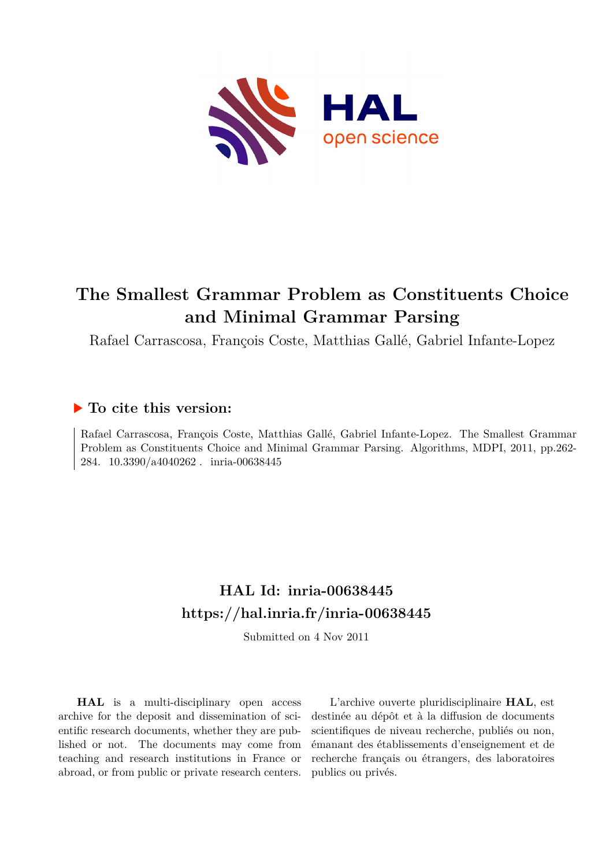

# **The Smallest Grammar Problem as Constituents Choice and Minimal Grammar Parsing**

Rafael Carrascosa, François Coste, Matthias Gallé, Gabriel Infante-Lopez

# **To cite this version:**

Rafael Carrascosa, François Coste, Matthias Gallé, Gabriel Infante-Lopez. The Smallest Grammar Problem as Constituents Choice and Minimal Grammar Parsing. Algorithms, MDPI, 2011, pp.262- 284. 10.3390/a4040262. inria-00638445

# **HAL Id: inria-00638445 <https://hal.inria.fr/inria-00638445>**

Submitted on 4 Nov 2011

**HAL** is a multi-disciplinary open access archive for the deposit and dissemination of scientific research documents, whether they are published or not. The documents may come from teaching and research institutions in France or abroad, or from public or private research centers.

L'archive ouverte pluridisciplinaire **HAL**, est destinée au dépôt et à la diffusion de documents scientifiques de niveau recherche, publiés ou non, émanant des établissements d'enseignement et de recherche français ou étrangers, des laboratoires publics ou privés.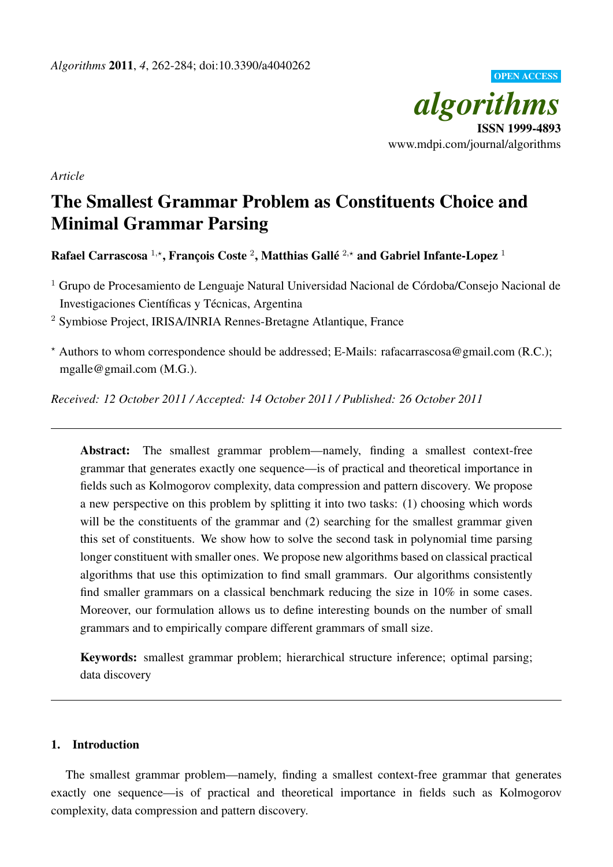

*Article*

# The Smallest Grammar Problem as Constituents Choice and Minimal Grammar Parsing

Rafael Carrascosa  $^{1,\star},$  François Coste  $^2,$  Matthias Gallé  $^{2,\star}$  and Gabriel Infante-Lopez  $^1$ 

 $1$  Grupo de Procesamiento de Lenguaje Natural Universidad Nacional de Córdoba/Consejo Nacional de Investigaciones Científicas y Técnicas, Argentina

<sup>2</sup> Symbiose Project, IRISA/INRIA Rennes-Bretagne Atlantique, France

 $*$  Authors to whom correspondence should be addressed; E-Mails: rafacarrascosa@gmail.com (R.C.); mgalle@gmail.com (M.G.).

*Received: 12 October 2011 / Accepted: 14 October 2011 / Published: 26 October 2011*

Abstract: The smallest grammar problem—namely, finding a smallest context-free grammar that generates exactly one sequence—is of practical and theoretical importance in fields such as Kolmogorov complexity, data compression and pattern discovery. We propose a new perspective on this problem by splitting it into two tasks: (1) choosing which words will be the constituents of the grammar and (2) searching for the smallest grammar given this set of constituents. We show how to solve the second task in polynomial time parsing longer constituent with smaller ones. We propose new algorithms based on classical practical algorithms that use this optimization to find small grammars. Our algorithms consistently find smaller grammars on a classical benchmark reducing the size in 10% in some cases. Moreover, our formulation allows us to define interesting bounds on the number of small grammars and to empirically compare different grammars of small size.

Keywords: smallest grammar problem; hierarchical structure inference; optimal parsing; data discovery

# 1. Introduction

The smallest grammar problem—namely, finding a smallest context-free grammar that generates exactly one sequence—is of practical and theoretical importance in fields such as Kolmogorov complexity, data compression and pattern discovery.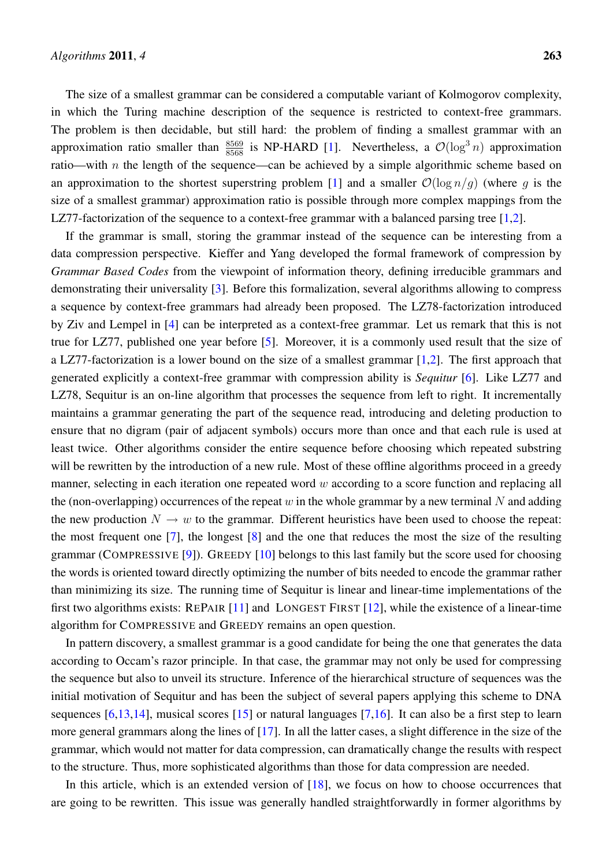The size of a smallest grammar can be considered a computable variant of Kolmogorov complexity, in which the Turing machine description of the sequence is restricted to context-free grammars. The problem is then decidable, but still hard: the problem of finding a smallest grammar with an approximation ratio smaller than  $\frac{8569}{8568}$  is NP-HARD [1]. Nevertheless, a  $\mathcal{O}(\log^3 n)$  approximation ratio—with *n* the length of the sequence—can be achieved by a simple algorithmic scheme based on an approximation to the shortest superstring problem [1] and a smaller  $\mathcal{O}(\log n/q)$  (where g is the size of a smallest grammar) approximation ratio is possible through more complex mappings from the LZ77-factorization of the sequence to a context-free grammar with a balanced parsing tree [1,2].

If the grammar is small, storing the grammar instead of the sequence can be interesting from a data compression perspective. Kieffer and Yang developed the formal framework of compression by *Grammar Based Codes* from the viewpoint of information theory, defining irreducible grammars and demonstrating their universality [3]. Before this formalization, several algorithms allowing to compress a sequence by context-free grammars had already been proposed. The LZ78-factorization introduced by Ziv and Lempel in [4] can be interpreted as a context-free grammar. Let us remark that this is not true for LZ77, published one year before [5]. Moreover, it is a commonly used result that the size of a LZ77-factorization is a lower bound on the size of a smallest grammar  $[1,2]$ . The first approach that generated explicitly a context-free grammar with compression ability is *Sequitur* [6]. Like LZ77 and LZ78, Sequitur is an on-line algorithm that processes the sequence from left to right. It incrementally maintains a grammar generating the part of the sequence read, introducing and deleting production to ensure that no digram (pair of adjacent symbols) occurs more than once and that each rule is used at least twice. Other algorithms consider the entire sequence before choosing which repeated substring will be rewritten by the introduction of a new rule. Most of these offline algorithms proceed in a greedy manner, selecting in each iteration one repeated word w according to a score function and replacing all the (non-overlapping) occurrences of the repeat w in the whole grammar by a new terminal N and adding the new production  $N \to w$  to the grammar. Different heuristics have been used to choose the repeat: the most frequent one [7], the longest [8] and the one that reduces the most the size of the resulting grammar (COMPRESSIVE [9]). GREEDY [10] belongs to this last family but the score used for choosing the words is oriented toward directly optimizing the number of bits needed to encode the grammar rather than minimizing its size. The running time of Sequitur is linear and linear-time implementations of the first two algorithms exists: REPAIR [11] and LONGEST FIRST [12], while the existence of a linear-time algorithm for COMPRESSIVE and GREEDY remains an open question.

In pattern discovery, a smallest grammar is a good candidate for being the one that generates the data according to Occam's razor principle. In that case, the grammar may not only be used for compressing the sequence but also to unveil its structure. Inference of the hierarchical structure of sequences was the initial motivation of Sequitur and has been the subject of several papers applying this scheme to DNA sequences  $[6,13,14]$ , musical scores  $[15]$  or natural languages  $[7,16]$ . It can also be a first step to learn more general grammars along the lines of [17]. In all the latter cases, a slight difference in the size of the grammar, which would not matter for data compression, can dramatically change the results with respect to the structure. Thus, more sophisticated algorithms than those for data compression are needed.

In this article, which is an extended version of [18], we focus on how to choose occurrences that are going to be rewritten. This issue was generally handled straightforwardly in former algorithms by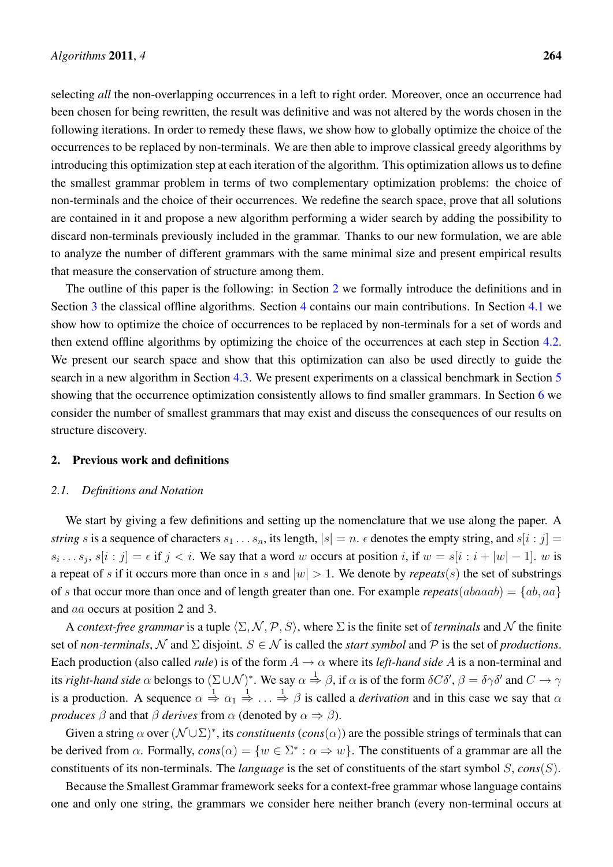selecting *all* the non-overlapping occurrences in a left to right order. Moreover, once an occurrence had been chosen for being rewritten, the result was definitive and was not altered by the words chosen in the following iterations. In order to remedy these flaws, we show how to globally optimize the choice of the occurrences to be replaced by non-terminals. We are then able to improve classical greedy algorithms by introducing this optimization step at each iteration of the algorithm. This optimization allows us to define the smallest grammar problem in terms of two complementary optimization problems: the choice of non-terminals and the choice of their occurrences. We redefine the search space, prove that all solutions are contained in it and propose a new algorithm performing a wider search by adding the possibility to discard non-terminals previously included in the grammar. Thanks to our new formulation, we are able to analyze the number of different grammars with the same minimal size and present empirical results that measure the conservation of structure among them.

The outline of this paper is the following: in Section 2 we formally introduce the definitions and in Section 3 the classical offline algorithms. Section 4 contains our main contributions. In Section 4.1 we show how to optimize the choice of occurrences to be replaced by non-terminals for a set of words and then extend offline algorithms by optimizing the choice of the occurrences at each step in Section 4.2. We present our search space and show that this optimization can also be used directly to guide the search in a new algorithm in Section 4.3. We present experiments on a classical benchmark in Section 5 showing that the occurrence optimization consistently allows to find smaller grammars. In Section 6 we consider the number of smallest grammars that may exist and discuss the consequences of our results on structure discovery.

## 2. Previous work and definitions

#### *2.1. Definitions and Notation*

We start by giving a few definitions and setting up the nomenclature that we use along the paper. A *string* s is a sequence of characters  $s_1 \ldots s_n$ , its length,  $|s| = n$ .  $\epsilon$  denotes the empty string, and  $s[i : j] =$  $s_i \dots s_j$ ,  $s[i:j] = \epsilon$  if  $j < i$ . We say that a word w occurs at position i, if  $w = s[i:i+|w|-1]$ . w is a repeat of s if it occurs more than once in s and  $|w| > 1$ . We denote by *repeats*(s) the set of substrings of s that occur more than once and of length greater than one. For example *repeats*( $abaaab$ ) =  $\{ab, aa\}$ and aa occurs at position 2 and 3.

A *context-free grammar* is a tuple  $\langle \Sigma, \mathcal{N}, \mathcal{P}, S \rangle$ , where  $\Sigma$  is the finite set of *terminals* and N the finite set of *non-terminals*, N and  $\Sigma$  disjoint.  $S \in \mathcal{N}$  is called the *start symbol* and P is the set of *productions*. Each production (also called *rule*) is of the form  $A \to \alpha$  where its *left-hand side* A is a non-terminal and its *right-hand side*  $\alpha$  belongs to  $(\Sigma \cup \mathcal{N})^*$ . We say  $\alpha \stackrel{1}{\Rightarrow} \beta$ , if  $\alpha$  is of the form  $\delta C \delta', \beta = \delta \gamma \delta'$  and  $C \to \gamma$ is a production. A sequence  $\alpha \stackrel{1}{\Rightarrow} \alpha_1 \stackrel{1}{\Rightarrow} \ldots \stackrel{1}{\Rightarrow} \beta$  is called a *derivation* and in this case we say that  $\alpha$ *produces*  $\beta$  and that  $\beta$  *derives* from  $\alpha$  (denoted by  $\alpha \Rightarrow \beta$ ).

Given a string  $\alpha$  over  $(\mathcal{N} \cup \Sigma)^*$ , its *constituents* (*cons*( $\alpha$ )) are the possible strings of terminals that can be derived from  $\alpha$ . Formally,  $cons(\alpha) = \{w \in \Sigma^* : \alpha \Rightarrow w\}$ . The constituents of a grammar are all the constituents of its non-terminals. The *language* is the set of constituents of the start symbol S, *cons*(S).

Because the Smallest Grammar framework seeks for a context-free grammar whose language contains one and only one string, the grammars we consider here neither branch (every non-terminal occurs at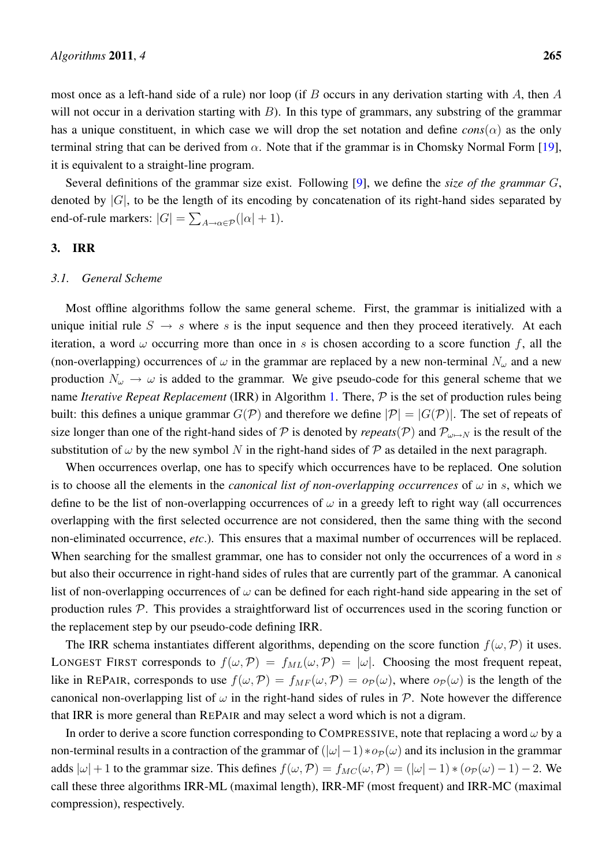most once as a left-hand side of a rule) nor loop (if B occurs in any derivation starting with A, then A will not occur in a derivation starting with  $B$ ). In this type of grammars, any substring of the grammar has a unique constituent, in which case we will drop the set notation and define  $cons(\alpha)$  as the only terminal string that can be derived from  $\alpha$ . Note that if the grammar is in Chomsky Normal Form [19], it is equivalent to a straight-line program.

Several definitions of the grammar size exist. Following [9], we define the *size of the grammar* G, denoted by  $|G|$ , to be the length of its encoding by concatenation of its right-hand sides separated by end-of-rule markers:  $|G| = \sum_{A \to \alpha \in \mathcal{P}} (|\alpha| + 1)$ .

## 3. IRR

## *3.1. General Scheme*

Most offline algorithms follow the same general scheme. First, the grammar is initialized with a unique initial rule  $S \rightarrow s$  where s is the input sequence and then they proceed iteratively. At each iteration, a word  $\omega$  occurring more than once in s is chosen according to a score function f, all the (non-overlapping) occurrences of  $\omega$  in the grammar are replaced by a new non-terminal  $N_{\omega}$  and a new production  $N_{\omega} \rightarrow \omega$  is added to the grammar. We give pseudo-code for this general scheme that we name *Iterative Repeat Replacement* (IRR) in Algorithm 1. There, P is the set of production rules being built: this defines a unique grammar  $G(\mathcal{P})$  and therefore we define  $|\mathcal{P}| = |G(\mathcal{P})|$ . The set of repeats of size longer than one of the right-hand sides of P is denoted by *repeats*(P) and  $P_{\omega\mapsto N}$  is the result of the substitution of  $\omega$  by the new symbol N in the right-hand sides of P as detailed in the next paragraph.

When occurrences overlap, one has to specify which occurrences have to be replaced. One solution is to choose all the elements in the *canonical list of non-overlapping occurrences* of  $\omega$  in s, which we define to be the list of non-overlapping occurrences of  $\omega$  in a greedy left to right way (all occurrences overlapping with the first selected occurrence are not considered, then the same thing with the second non-eliminated occurrence, *etc*.). This ensures that a maximal number of occurrences will be replaced. When searching for the smallest grammar, one has to consider not only the occurrences of a word in s but also their occurrence in right-hand sides of rules that are currently part of the grammar. A canonical list of non-overlapping occurrences of  $\omega$  can be defined for each right-hand side appearing in the set of production rules  $P$ . This provides a straightforward list of occurrences used in the scoring function or the replacement step by our pseudo-code defining IRR.

The IRR schema instantiates different algorithms, depending on the score function  $f(\omega, \mathcal{P})$  it uses. LONGEST FIRST corresponds to  $f(\omega, \mathcal{P}) = f_{ML}(\omega, \mathcal{P}) = |\omega|$ . Choosing the most frequent repeat, like in REPAIR, corresponds to use  $f(\omega,\mathcal{P}) = f_{MF}(\omega,\mathcal{P}) = o_{\mathcal{P}}(\omega)$ , where  $o_{\mathcal{P}}(\omega)$  is the length of the canonical non-overlapping list of  $\omega$  in the right-hand sides of rules in  $\mathcal{P}$ . Note however the difference that IRR is more general than REPAIR and may select a word which is not a digram.

In order to derive a score function corresponding to COMPRESSIVE, note that replacing a word  $\omega$  by a non-terminal results in a contraction of the grammar of  $(|\omega|-1)*o_{\mathcal{P}}(\omega)$  and its inclusion in the grammar adds  $|\omega| + 1$  to the grammar size. This defines  $f(\omega, \mathcal{P}) = f_{MC}(\omega, \mathcal{P}) = (|\omega| - 1) * (o_{\mathcal{P}}(\omega) - 1) - 2$ . We call these three algorithms IRR-ML (maximal length), IRR-MF (most frequent) and IRR-MC (maximal compression), respectively.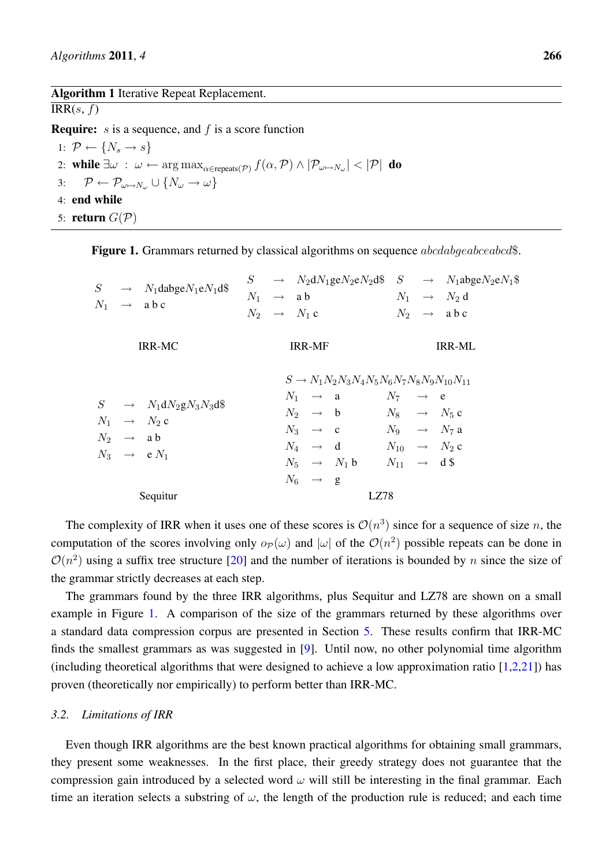### Algorithm 1 Iterative Repeat Replacement.

 $IRR(s, f)$ 

**Require:** s is a sequence, and f is a score function

1:  $\mathcal{P} \leftarrow \{N_s \rightarrow s\}$ 2: while  $\exists \omega \; : \; \omega \leftarrow \argmax_{\alpha \in \text{repeats}(\mathcal{P})} f(\alpha, \mathcal{P}) \wedge |\mathcal{P}_{\omega \mapsto N_{\omega}}| < |\mathcal{P}|$  do 3:  $\mathcal{P} \leftarrow \mathcal{P}_{\omega \mapsto N_{\omega}} \cup \{N_{\omega} \rightarrow \omega\}$ 4: end while 5: return  $G(\mathcal{P})$ 

Figure 1. Grammars returned by classical algorithms on sequence *abcdabgeabceabcd*\$.

|  | $S \rightarrow N_1$ dabge $N_1$ e $N_1$ d\$                                |  |                         |                                                           |                         | $S \rightarrow N_2 dN_1$ ge $N_2 eN_2 d\$ $S \rightarrow N_1 abgeN_2 eN_1$ |
|--|----------------------------------------------------------------------------|--|-------------------------|-----------------------------------------------------------|-------------------------|----------------------------------------------------------------------------|
|  | $N_1 \rightarrow$ a b c                                                    |  | $N_1 \rightarrow ab$    |                                                           |                         | $N_1 \rightarrow N_2 d$                                                    |
|  |                                                                            |  | $N_2 \rightarrow N_1$ c |                                                           |                         | $N_2 \rightarrow \text{abc}$                                               |
|  | <b>IRR-MC</b>                                                              |  | <b>IRR-MF</b>           |                                                           |                         | <b>IRR-ML</b>                                                              |
|  |                                                                            |  |                         | $S \to N_1 N_2 N_3 N_4 N_5 N_6 N_7 N_8 N_9 N_{10} N_{11}$ |                         |                                                                            |
|  |                                                                            |  | $N_1 \rightarrow a$     |                                                           | $N_7 \rightarrow e$     |                                                                            |
|  | $S \rightarrow N_1 dN_2 gN_3 N_3 d\$                                       |  | $N_2 \rightarrow b$     |                                                           | $N_8 \rightarrow N_5 c$ |                                                                            |
|  | $N_1 \rightarrow N_2$ c<br>$N_2 \rightarrow ab$<br>$N_3 \rightarrow e N_1$ |  |                         | $N_3 \rightarrow c \qquad N_9 \rightarrow N_7 a$          |                         |                                                                            |
|  |                                                                            |  |                         | $N_4 \rightarrow d \qquad N_{10} \rightarrow N_2 c$       |                         |                                                                            |
|  |                                                                            |  |                         | $N_5 \rightarrow N_1 b \qquad N_{11} \rightarrow d\$      |                         |                                                                            |
|  |                                                                            |  | $N_6 \rightarrow g$     |                                                           |                         |                                                                            |
|  | Sequitur                                                                   |  |                         | LZ78                                                      |                         |                                                                            |

The complexity of IRR when it uses one of these scores is  $\mathcal{O}(n^3)$  since for a sequence of size n, the computation of the scores involving only  $o_P(\omega)$  and  $|\omega|$  of the  $O(n^2)$  possible repeats can be done in  $\mathcal{O}(n^2)$  using a suffix tree structure [20] and the number of iterations is bounded by n since the size of the grammar strictly decreases at each step.

The grammars found by the three IRR algorithms, plus Sequitur and LZ78 are shown on a small example in Figure 1. A comparison of the size of the grammars returned by these algorithms over a standard data compression corpus are presented in Section 5. These results confirm that IRR-MC finds the smallest grammars as was suggested in [9]. Until now, no other polynomial time algorithm (including theoretical algorithms that were designed to achieve a low approximation ratio  $[1,2,21]$ ) has proven (theoretically nor empirically) to perform better than IRR-MC.

## *3.2. Limitations of IRR*

Even though IRR algorithms are the best known practical algorithms for obtaining small grammars, they present some weaknesses. In the first place, their greedy strategy does not guarantee that the compression gain introduced by a selected word  $\omega$  will still be interesting in the final grammar. Each time an iteration selects a substring of  $\omega$ , the length of the production rule is reduced; and each time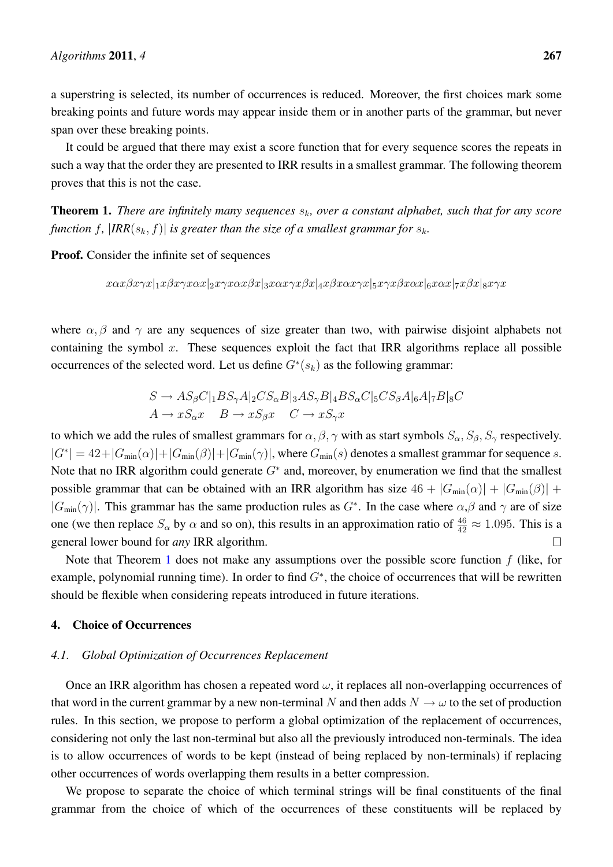a superstring is selected, its number of occurrences is reduced. Moreover, the first choices mark some breaking points and future words may appear inside them or in another parts of the grammar, but never span over these breaking points.

It could be argued that there may exist a score function that for every sequence scores the repeats in such a way that the order they are presented to IRR results in a smallest grammar. The following theorem proves that this is not the case.

**Theorem 1.** *There are infinitely many sequences*  $s_k$ , over a constant alphabet, such that for any score *function* f,  $|IRR(s_k, f)|$  *is greater than the size of a smallest grammar for*  $s_k$ *.* 

Proof. Consider the infinite set of sequences

 $x\alpha x\beta x\gamma x|x|\beta x\gamma x\alpha x|_2x\gamma x\alpha x\beta x|_3x\alpha x\gamma x\beta x|_4x\beta x\alpha x\gamma x|_5x\gamma x\beta x\alpha x|_6x\alpha x|_7x\beta x|_8x\gamma x$ 

where  $\alpha$ ,  $\beta$  and  $\gamma$  are any sequences of size greater than two, with pairwise disjoint alphabets not containing the symbol  $x$ . These sequences exploit the fact that IRR algorithms replace all possible occurrences of the selected word. Let us define  $G^*(s_k)$  as the following grammar:

$$
S \to AS_{\beta}C|_{1}BS_{\gamma}A|_{2}CS_{\alpha}B|_{3}AS_{\gamma}B|_{4}BS_{\alpha}C|_{5}CS_{\beta}A|_{6}A|_{7}B|_{8}C
$$
  

$$
A \to xS_{\alpha}x \quad B \to xS_{\beta}x \quad C \to xS_{\gamma}x
$$

to which we add the rules of smallest grammars for  $\alpha, \beta, \gamma$  with as start symbols  $S_\alpha, S_\beta, S_\gamma$  respectively.  $|G^*| = 42 + |G_{min}(\alpha)| + |G_{min}(\beta)| + |G_{min}(\gamma)|$ , where  $G_{min}(s)$  denotes a smallest grammar for sequence s. Note that no IRR algorithm could generate  $G^*$  and, moreover, by enumeration we find that the smallest possible grammar that can be obtained with an IRR algorithm has size  $46 + |G_{min}(\alpha)| + |G_{min}(\beta)| +$  $|G_{min}(\gamma)|$ . This grammar has the same production rules as  $G^*$ . In the case where  $\alpha,\beta$  and  $\gamma$  are of size one (we then replace  $S_\alpha$  by  $\alpha$  and so on), this results in an approximation ratio of  $\frac{46}{42} \approx 1.095$ . This is a general lower bound for *any* IRR algorithm.  $\Box$ 

Note that Theorem 1 does not make any assumptions over the possible score function  $f$  (like, for example, polynomial running time). In order to find  $G^*$ , the choice of occurrences that will be rewritten should be flexible when considering repeats introduced in future iterations.

# 4. Choice of Occurrences

### *4.1. Global Optimization of Occurrences Replacement*

Once an IRR algorithm has chosen a repeated word  $\omega$ , it replaces all non-overlapping occurrences of that word in the current grammar by a new non-terminal N and then adds  $N \to \omega$  to the set of production rules. In this section, we propose to perform a global optimization of the replacement of occurrences, considering not only the last non-terminal but also all the previously introduced non-terminals. The idea is to allow occurrences of words to be kept (instead of being replaced by non-terminals) if replacing other occurrences of words overlapping them results in a better compression.

We propose to separate the choice of which terminal strings will be final constituents of the final grammar from the choice of which of the occurrences of these constituents will be replaced by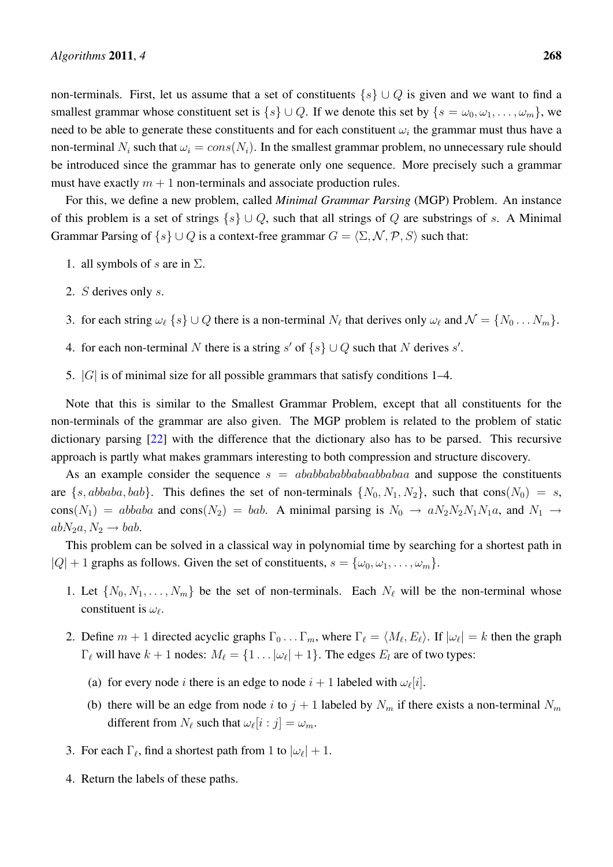non-terminals. First, let us assume that a set of constituents  $\{s\} \cup Q$  is given and we want to find a smallest grammar whose constituent set is  $\{s\} \cup Q$ . If we denote this set by  $\{s = \omega_0, \omega_1, \ldots, \omega_m\}$ , we need to be able to generate these constituents and for each constituent  $\omega_i$  the grammar must thus have a non-terminal  $N_i$  such that  $\omega_i = const(N_i)$ . In the smallest grammar problem, no unnecessary rule should be introduced since the grammar has to generate only one sequence. More precisely such a grammar must have exactly  $m + 1$  non-terminals and associate production rules.

For this, we define a new problem, called *Minimal Grammar Parsing* (MGP) Problem. An instance of this problem is a set of strings  $\{s\} \cup Q$ , such that all strings of Q are substrings of s. A Minimal Grammar Parsing of  $\{s\} \cup Q$  is a context-free grammar  $G = \langle \Sigma, \mathcal{N}, \mathcal{P}, S \rangle$  such that:

- 1. all symbols of s are in  $\Sigma$ .
- 2. S derives only s.
- 3. for each string  $\omega_\ell$   $\{s\} \cup Q$  there is a non-terminal  $N_\ell$  that derives only  $\omega_\ell$  and  $\mathcal{N} = \{N_0 \dots N_m\}$ .
- 4. for each non-terminal N there is a string s' of  $\{s\} \cup Q$  such that N derives s'.
- 5.  $|G|$  is of minimal size for all possible grammars that satisfy conditions 1–4.

Note that this is similar to the Smallest Grammar Problem, except that all constituents for the non-terminals of the grammar are also given. The MGP problem is related to the problem of static dictionary parsing [22] with the difference that the dictionary also has to be parsed. This recursive approach is partly what makes grammars interesting to both compression and structure discovery.

As an example consider the sequence  $s = ababbababababab$  and suppose the constituents are  $\{s, abbaba, bab\}$ . This defines the set of non-terminals  $\{N_0, N_1, N_2\}$ , such that cons $(N_0) = s$ , cons( $N_1$ ) = abbaba and cons( $N_2$ ) = bab. A minimal parsing is  $N_0 \rightarrow a N_2 N_2 N_1 N_1 a$ , and  $N_1 \rightarrow a N_2 N_2 N_1 N_2 a$  $abN_2a, N_2 \rightarrow bab.$ 

This problem can be solved in a classical way in polynomial time by searching for a shortest path in  $|Q| + 1$  graphs as follows. Given the set of constituents,  $s = {\omega_0, \omega_1, \dots, \omega_m}$ .

- 1. Let  $\{N_0, N_1, \ldots, N_m\}$  be the set of non-terminals. Each  $N_\ell$  will be the non-terminal whose constituent is  $\omega_{\ell}$ .
- 2. Define  $m+1$  directed acyclic graphs  $\Gamma_0 \ldots \Gamma_m$ , where  $\Gamma_\ell = \langle M_\ell, E_\ell \rangle$ . If  $|\omega_\ell| = k$  then the graph  $\Gamma_{\ell}$  will have  $k + 1$  nodes:  $M_{\ell} = \{1 \dots |\omega_{\ell}| + 1\}$ . The edges  $E_{l}$  are of two types:
	- (a) for every node *i* there is an edge to node  $i + 1$  labeled with  $\omega_{\ell}[i]$ .
	- (b) there will be an edge from node i to  $j + 1$  labeled by  $N_m$  if there exists a non-terminal  $N_m$ different from  $N_{\ell}$  such that  $\omega_{\ell}[i : j] = \omega_m$ .
- 3. For each  $\Gamma_{\ell}$ , find a shortest path from 1 to  $|\omega_{\ell}| + 1$ .
- 4. Return the labels of these paths.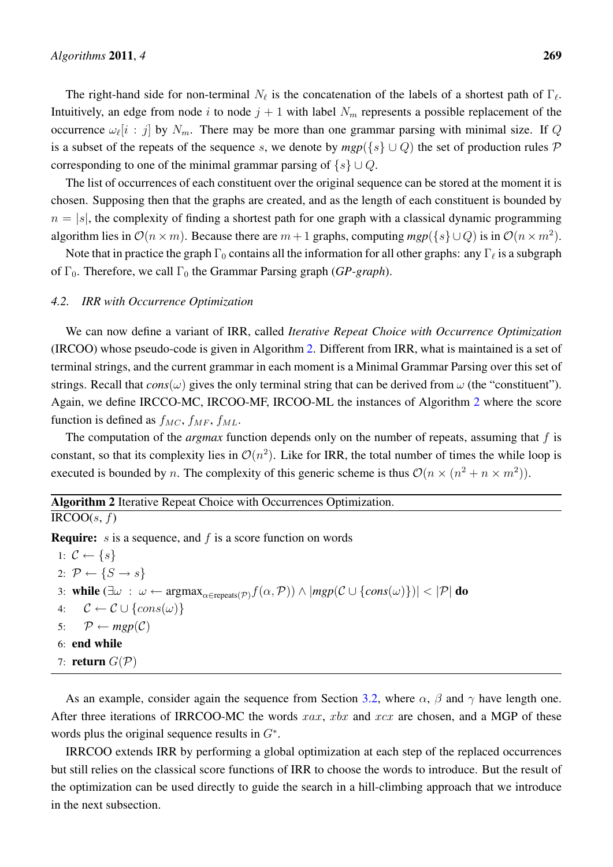The right-hand side for non-terminal  $N_\ell$  is the concatenation of the labels of a shortest path of  $\Gamma_\ell$ . Intuitively, an edge from node i to node  $j + 1$  with label  $N_m$  represents a possible replacement of the occurrence  $\omega_{\ell}[i : j]$  by  $N_m$ . There may be more than one grammar parsing with minimal size. If Q is a subset of the repeats of the sequence s, we denote by  $mgp({s} \cup Q)$  the set of production rules P corresponding to one of the minimal grammar parsing of  $\{s\} \cup Q$ .

The list of occurrences of each constituent over the original sequence can be stored at the moment it is chosen. Supposing then that the graphs are created, and as the length of each constituent is bounded by  $n = |s|$ , the complexity of finding a shortest path for one graph with a classical dynamic programming algorithm lies in  $\mathcal{O}(n \times m)$ . Because there are  $m+1$  graphs, computing  $mgp(\lbrace s \rbrace \cup Q)$  is in  $\mathcal{O}(n \times m^2)$ .

Note that in practice the graph  $\Gamma_0$  contains all the information for all other graphs: any  $\Gamma_\ell$  is a subgraph of Γ<sub>0</sub>. Therefore, we call Γ<sub>0</sub> the Grammar Parsing graph (*GP-graph*).

## *4.2. IRR with Occurrence Optimization*

We can now define a variant of IRR, called *Iterative Repeat Choice with Occurrence Optimization* (IRCOO) whose pseudo-code is given in Algorithm 2. Different from IRR, what is maintained is a set of terminal strings, and the current grammar in each moment is a Minimal Grammar Parsing over this set of strings. Recall that  $cons(\omega)$  gives the only terminal string that can be derived from  $\omega$  (the "constituent"). Again, we define IRCCO-MC, IRCOO-MF, IRCOO-ML the instances of Algorithm 2 where the score function is defined as  $f_{MC}$ ,  $f_{MF}$ ,  $f_{ML}$ .

The computation of the *argmax* function depends only on the number of repeats, assuming that f is constant, so that its complexity lies in  $\mathcal{O}(n^2)$ . Like for IRR, the total number of times the while loop is executed is bounded by *n*. The complexity of this generic scheme is thus  $\mathcal{O}(n \times (n^2 + n \times m^2))$ .

Algorithm 2 Iterative Repeat Choice with Occurrences Optimization.  $IRCOO(s, f)$ 

**Require:**  $s$  is a sequence, and  $f$  is a score function on words

1:  $\mathcal{C} \leftarrow \{s\}$ 2:  $\mathcal{P} \leftarrow \{S \rightarrow s\}$ 3: while  $(\exists \omega : \omega \leftarrow \text{argmax}_{\alpha \in \text{repeats}(\mathcal{P})} f(\alpha, \mathcal{P})) \wedge |mgp(\mathcal{C} \cup \{cons(\omega)\})| < |\mathcal{P}|$  do 4:  $\mathcal{C} \leftarrow \mathcal{C} \cup \{cons(\omega)\}\$ 5:  $\mathcal{P} \leftarrow \text{mgp}(\mathcal{C})$ 6: end while 7: return  $G(\mathcal{P})$ 

As an example, consider again the sequence from Section 3.2, where  $\alpha$ ,  $\beta$  and  $\gamma$  have length one. After three iterations of IRRCOO-MC the words  $xax$ ,  $xbx$  and  $xcx$  are chosen, and a MGP of these words plus the original sequence results in  $G^*$ .

IRRCOO extends IRR by performing a global optimization at each step of the replaced occurrences but still relies on the classical score functions of IRR to choose the words to introduce. But the result of the optimization can be used directly to guide the search in a hill-climbing approach that we introduce in the next subsection.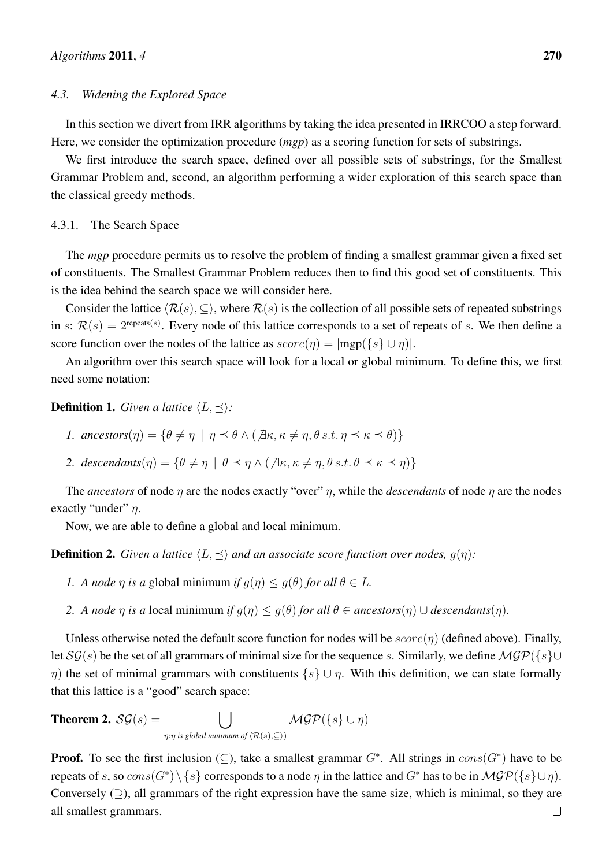### *4.3. Widening the Explored Space*

In this section we divert from IRR algorithms by taking the idea presented in IRRCOO a step forward. Here, we consider the optimization procedure (*mgp*) as a scoring function for sets of substrings.

We first introduce the search space, defined over all possible sets of substrings, for the Smallest Grammar Problem and, second, an algorithm performing a wider exploration of this search space than the classical greedy methods.

#### 4.3.1. The Search Space

The *mgp* procedure permits us to resolve the problem of finding a smallest grammar given a fixed set of constituents. The Smallest Grammar Problem reduces then to find this good set of constituents. This is the idea behind the search space we will consider here.

Consider the lattice  $\langle \mathcal{R}(s), \subseteq \rangle$ , where  $\mathcal{R}(s)$  is the collection of all possible sets of repeated substrings in s:  $\mathcal{R}(s) = 2^{\text{repeats}(s)}$ . Every node of this lattice corresponds to a set of repeats of s. We then define a score function over the nodes of the lattice as  $score(\eta) = |map({s \cup \eta})|$ .

An algorithm over this search space will look for a local or global minimum. To define this, we first need some notation:

**Definition 1.** *Given a lattice*  $\langle L, \prec \rangle$ *:* 

- *1.*  $\textit{ancestors}(\eta) = \{\theta \neq \eta \mid \eta \prec \theta \wedge (\exists \kappa, \kappa \neq \eta, \theta \text{ s.t. } \eta \prec \kappa \prec \theta)\}\$
- 2. *descendants* $(\eta) = {\theta \neq \eta \mid \theta \prec \eta \wedge (\exists \kappa, \kappa \neq \eta, \theta \, s.t. \, \theta \prec \kappa \prec \eta})$

The *ancestors* of node  $\eta$  are the nodes exactly "over"  $\eta$ , while the *descendants* of node  $\eta$  are the nodes exactly "under"  $\eta$ .

Now, we are able to define a global and local minimum.

**Definition 2.** *Given a lattice*  $\langle L, \preceq \rangle$  *and an associate score function over nodes,*  $g(\eta)$ :

- *1. A node*  $\eta$  *is a* global minimum *if*  $q(\eta) \leq q(\theta)$  *for all*  $\theta \in L$ *.*
- *2. A node*  $\eta$  *is a* local minimum *if*  $g(\eta) \leq g(\theta)$  *for all*  $\theta \in \text{ancestors}(\eta) \cup \text{descendants}(\eta)$ *.*

Unless otherwise noted the default score function for nodes will be  $score(\eta)$  (defined above). Finally, let  $\mathcal{SG}(s)$  be the set of all grammars of minimal size for the sequence s. Similarly, we define  $\mathcal{MGP}({s} \cup$  $η)$  the set of minimal grammars with constituents  $\{s\} \cup η$ . With this definition, we can state formally that this lattice is a "good" search space:

**Theorem 2.** 
$$
\mathcal{SG}(s) = \bigcup_{\eta: \eta \text{ is global minimum of } \langle \mathcal{R}(s), \subseteq \rangle} \mathcal{MGP}(\{s\} \cup \eta)
$$

**Proof.** To see the first inclusion ( $\subseteq$ ), take a smallest grammar  $G^*$ . All strings in  $cons(G^*)$  have to be repeats of s, so  $cons(G^*) \setminus \{s\}$  corresponds to a node  $\eta$  in the lattice and  $G^*$  has to be in  $\mathcal{MGP}(\{s\} \cup \eta)$ . Conversely  $(2)$ , all grammars of the right expression have the same size, which is minimal, so they are all smallest grammars. $\Box$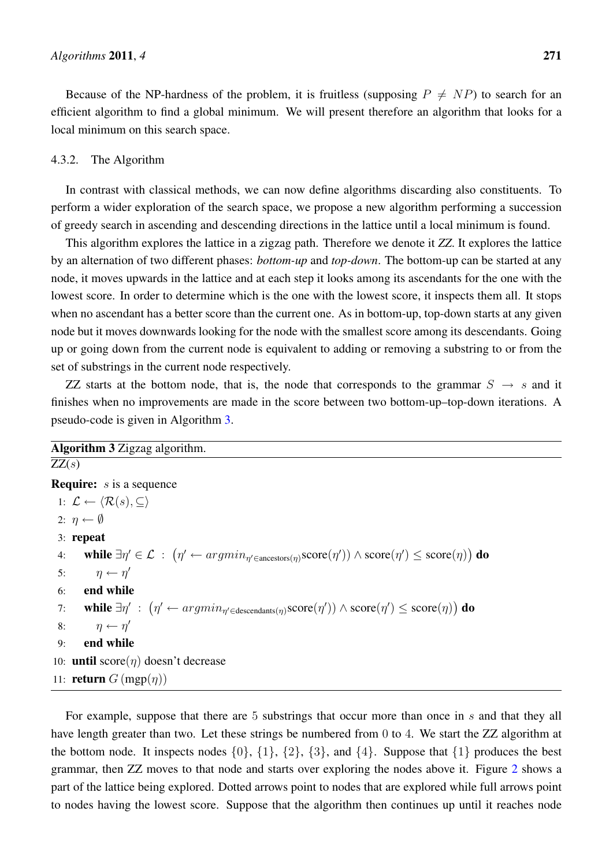Because of the NP-hardness of the problem, it is fruitless (supposing  $P \neq NP$ ) to search for an efficient algorithm to find a global minimum. We will present therefore an algorithm that looks for a local minimum on this search space.

# 4.3.2. The Algorithm

In contrast with classical methods, we can now define algorithms discarding also constituents. To perform a wider exploration of the search space, we propose a new algorithm performing a succession of greedy search in ascending and descending directions in the lattice until a local minimum is found.

This algorithm explores the lattice in a zigzag path. Therefore we denote it *ZZ*. It explores the lattice by an alternation of two different phases: *bottom-up* and *top-down*. The bottom-up can be started at any node, it moves upwards in the lattice and at each step it looks among its ascendants for the one with the lowest score. In order to determine which is the one with the lowest score, it inspects them all. It stops when no ascendant has a better score than the current one. As in bottom-up, top-down starts at any given node but it moves downwards looking for the node with the smallest score among its descendants. Going up or going down from the current node is equivalent to adding or removing a substring to or from the set of substrings in the current node respectively.

ZZ starts at the bottom node, that is, the node that corresponds to the grammar  $S \rightarrow s$  and it finishes when no improvements are made in the score between two bottom-up–top-down iterations. A pseudo-code is given in Algorithm 3.

# Algorithm 3 Zigzag algorithm.

 $ZZ(s)$ **Require:**  $s$  is a sequence 1:  $\mathcal{L} \leftarrow \langle \mathcal{R}(s), \subseteq \rangle$ 2:  $\eta \leftarrow \emptyset$ 3: repeat 4: while  $\exists \eta' \in \mathcal{L}$  :  $(\eta' \leftarrow argmin_{\eta' \in \text{ancestors}(\eta)} \text{score}(\eta')) \land \text{score}(\eta') \leq \text{score}(\eta))$  do 5:  $\eta \leftarrow \eta'$ 6: end while 7: while  $\exists \eta' \; : \; \big( \eta' \leftarrow argmin_{\eta' \in \text{descendants}(\eta)} \text{score}(\eta') \big) \land \text{score}(\eta') \leq \text{score}(\eta) \big)$  do 8:  $\eta \leftarrow \eta'$ 9: end while 10: **until** score $(n)$  doesn't decrease 11: **return**  $G$  (mgp $(\eta)$ )

For example, suppose that there are 5 substrings that occur more than once in s and that they all have length greater than two. Let these strings be numbered from 0 to 4. We start the ZZ algorithm at the bottom node. It inspects nodes  $\{0\}$ ,  $\{1\}$ ,  $\{2\}$ ,  $\{3\}$ , and  $\{4\}$ . Suppose that  $\{1\}$  produces the best grammar, then ZZ moves to that node and starts over exploring the nodes above it. Figure 2 shows a part of the lattice being explored. Dotted arrows point to nodes that are explored while full arrows point to nodes having the lowest score. Suppose that the algorithm then continues up until it reaches node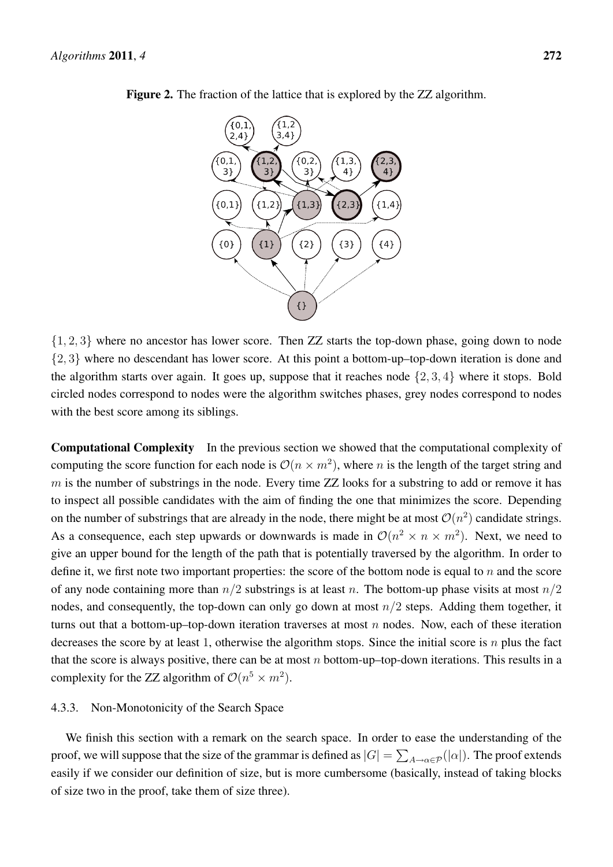

Figure 2. The fraction of the lattice that is explored by the ZZ algorithm.

{1, 2, 3} where no ancestor has lower score. Then ZZ starts the top-down phase, going down to node {2, 3} where no descendant has lower score. At this point a bottom-up–top-down iteration is done and the algorithm starts over again. It goes up, suppose that it reaches node  $\{2, 3, 4\}$  where it stops. Bold circled nodes correspond to nodes were the algorithm switches phases, grey nodes correspond to nodes with the best score among its siblings.

Computational Complexity In the previous section we showed that the computational complexity of computing the score function for each node is  $\mathcal{O}(n \times m^2)$ , where n is the length of the target string and  $m$  is the number of substrings in the node. Every time ZZ looks for a substring to add or remove it has to inspect all possible candidates with the aim of finding the one that minimizes the score. Depending on the number of substrings that are already in the node, there might be at most  $\mathcal{O}(n^2)$  candidate strings. As a consequence, each step upwards or downwards is made in  $\mathcal{O}(n^2 \times n \times m^2)$ . Next, we need to give an upper bound for the length of the path that is potentially traversed by the algorithm. In order to define it, we first note two important properties: the score of the bottom node is equal to  $n$  and the score of any node containing more than  $n/2$  substrings is at least n. The bottom-up phase visits at most  $n/2$ nodes, and consequently, the top-down can only go down at most  $n/2$  steps. Adding them together, it turns out that a bottom-up–top-down iteration traverses at most  $n$  nodes. Now, each of these iteration decreases the score by at least 1, otherwise the algorithm stops. Since the initial score is  $n$  plus the fact that the score is always positive, there can be at most n bottom-up–top-down iterations. This results in a complexity for the ZZ algorithm of  $\mathcal{O}(n^5 \times m^2)$ .

# 4.3.3. Non-Monotonicity of the Search Space

We finish this section with a remark on the search space. In order to ease the understanding of the proof, we will suppose that the size of the grammar is defined as  $|G| = \sum_{A\to\alpha\in\mathcal{P}}(|\alpha|).$  The proof extends easily if we consider our definition of size, but is more cumbersome (basically, instead of taking blocks of size two in the proof, take them of size three).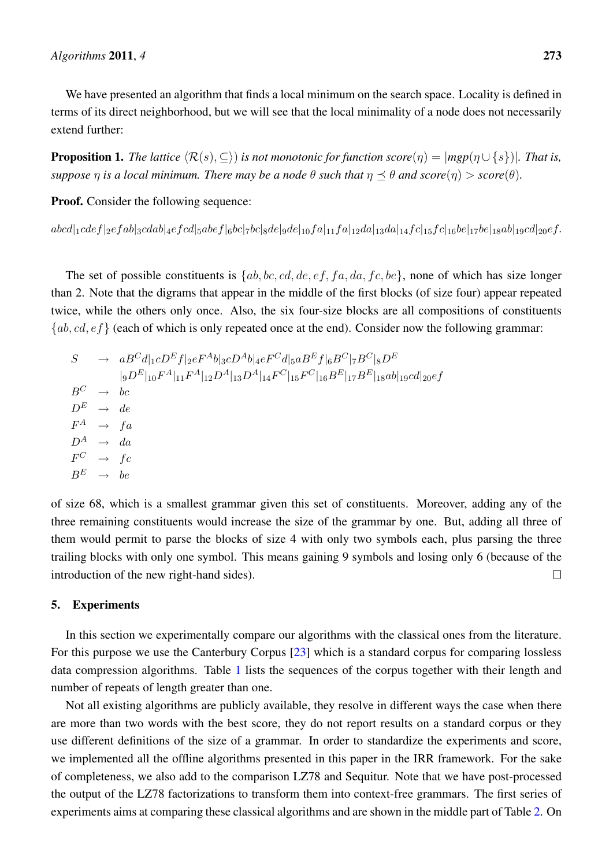We have presented an algorithm that finds a local minimum on the search space. Locality is defined in terms of its direct neighborhood, but we will see that the local minimality of a node does not necessarily extend further:

**Proposition 1.** *The lattice*  $\langle \mathcal{R}(s), \subseteq \rangle$  *is not monotonic for function score* $(\eta) = |mgp(\eta \cup \{s\})|$ *. That is, suppose n is a local minimum. There may be a node*  $\theta$  *such that*  $\eta \prec \theta$  *and score* $(\eta) > score(\theta)$ *.* 

Proof. Consider the following sequence:

 $[abcd]_1cdef]_2efab]_3cdab]_4efcd]_5abef|_6bc|_7bc|_8de|_9de|_{10}fa|_{11}fa|_{12}da|_{13}da|_{14}fc|_{15}fe|_{16}be|_{17}be|_{18}ab|_{19}cd|_{20}ef.$ 

The set of possible constituents is  $\{ab, bc, cd, de, ef, fa, da, fc, be\}$ , none of which has size longer than 2. Note that the digrams that appear in the middle of the first blocks (of size four) appear repeated twice, while the others only once. Also, the six four-size blocks are all compositions of constituents  ${ab, cd, ef}$  (each of which is only repeated once at the end). Consider now the following grammar:

$$
S \rightarrow aB^C d|_{1}cD^E f|_{2}eF^A b|_{3}cD^A b|_{4}eF^C d|_{5}aB^E f|_{6}B^C|_{7}B^C|_{8}D^E
$$
  
\n
$$
|_{9}D^E|_{10}F^A|_{11}F^A|_{12}D^A|_{13}D^A|_{14}F^C|_{15}F^C|_{16}B^E|_{17}B^E|_{18}ab|_{19}cd|_{20}ef
$$
  
\n
$$
B^C \rightarrow bc
$$
  
\n
$$
D^E \rightarrow de
$$
  
\n
$$
F^A \rightarrow fa
$$
  
\n
$$
D^A \rightarrow da
$$
  
\n
$$
F^C \rightarrow fc
$$
  
\n
$$
B^E \rightarrow be
$$

of size 68, which is a smallest grammar given this set of constituents. Moreover, adding any of the three remaining constituents would increase the size of the grammar by one. But, adding all three of them would permit to parse the blocks of size 4 with only two symbols each, plus parsing the three trailing blocks with only one symbol. This means gaining 9 symbols and losing only 6 (because of the introduction of the new right-hand sides).  $\Box$ 

## 5. Experiments

In this section we experimentally compare our algorithms with the classical ones from the literature. For this purpose we use the Canterbury Corpus [23] which is a standard corpus for comparing lossless data compression algorithms. Table 1 lists the sequences of the corpus together with their length and number of repeats of length greater than one.

Not all existing algorithms are publicly available, they resolve in different ways the case when there are more than two words with the best score, they do not report results on a standard corpus or they use different definitions of the size of a grammar. In order to standardize the experiments and score, we implemented all the offline algorithms presented in this paper in the IRR framework. For the sake of completeness, we also add to the comparison LZ78 and Sequitur. Note that we have post-processed the output of the LZ78 factorizations to transform them into context-free grammars. The first series of experiments aims at comparing these classical algorithms and are shown in the middle part of Table 2. On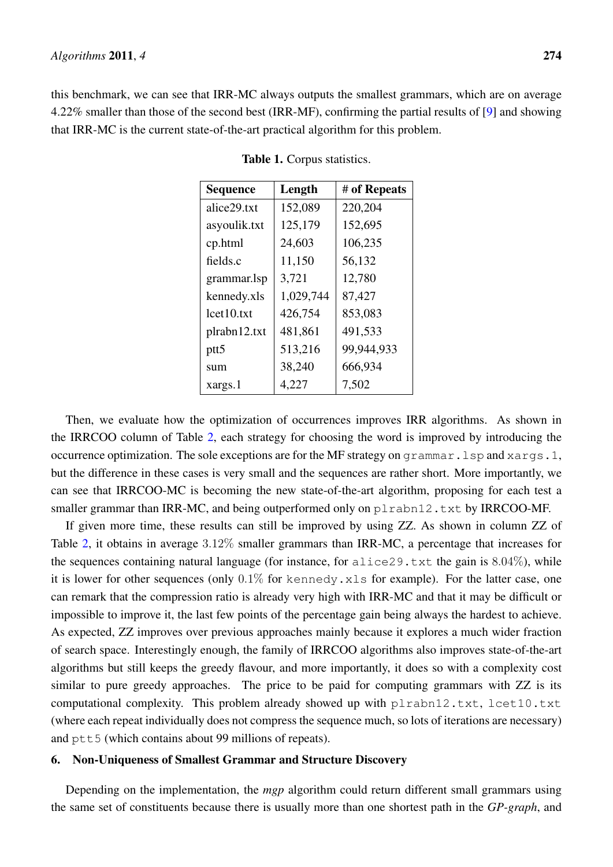this benchmark, we can see that IRR-MC always outputs the smallest grammars, which are on average 4.22% smaller than those of the second best (IRR-MF), confirming the partial results of [9] and showing that IRR-MC is the current state-of-the-art practical algorithm for this problem.

| <b>Sequence</b>  | Length    | # of Repeats |
|------------------|-----------|--------------|
| alice29.txt      | 152,089   | 220,204      |
| asyoulik.txt     | 125,179   | 152,695      |
| cp.html          | 24,603    | 106,235      |
| fields.c         | 11,150    | 56,132       |
| grammar.lsp      | 3,721     | 12,780       |
| kennedy.xls      | 1,029,744 | 87,427       |
| lct10.txt        | 426,754   | 853,083      |
| plrabn12.txt     | 481,861   | 491,533      |
| ptt <sub>5</sub> | 513,216   | 99,944,933   |
| sum              | 38,240    | 666,934      |
| xargs.1          | 4,227     | 7,502        |

Table 1. Corpus statistics.

Then, we evaluate how the optimization of occurrences improves IRR algorithms. As shown in the IRRCOO column of Table 2, each strategy for choosing the word is improved by introducing the occurrence optimization. The sole exceptions are for the MF strategy on grammar.lsp and xargs.1, but the difference in these cases is very small and the sequences are rather short. More importantly, we can see that IRRCOO-MC is becoming the new state-of-the-art algorithm, proposing for each test a smaller grammar than IRR-MC, and being outperformed only on  $p$ l rabn12.txt by IRRCOO-MF.

If given more time, these results can still be improved by using ZZ. As shown in column ZZ of Table 2, it obtains in average 3.12% smaller grammars than IRR-MC, a percentage that increases for the sequences containing natural language (for instance, for  $\alpha$ lice29.txt the gain is 8.04%), while it is lower for other sequences (only  $0.1\%$  for kennedy.xls for example). For the latter case, one can remark that the compression ratio is already very high with IRR-MC and that it may be difficult or impossible to improve it, the last few points of the percentage gain being always the hardest to achieve. As expected, ZZ improves over previous approaches mainly because it explores a much wider fraction of search space. Interestingly enough, the family of IRRCOO algorithms also improves state-of-the-art algorithms but still keeps the greedy flavour, and more importantly, it does so with a complexity cost similar to pure greedy approaches. The price to be paid for computing grammars with ZZ is its computational complexity. This problem already showed up with plrabn12.txt, lcet10.txt (where each repeat individually does not compress the sequence much, so lots of iterations are necessary) and  $ptt5$  (which contains about 99 millions of repeats).

## 6. Non-Uniqueness of Smallest Grammar and Structure Discovery

Depending on the implementation, the *mgp* algorithm could return different small grammars using the same set of constituents because there is usually more than one shortest path in the *GP-graph*, and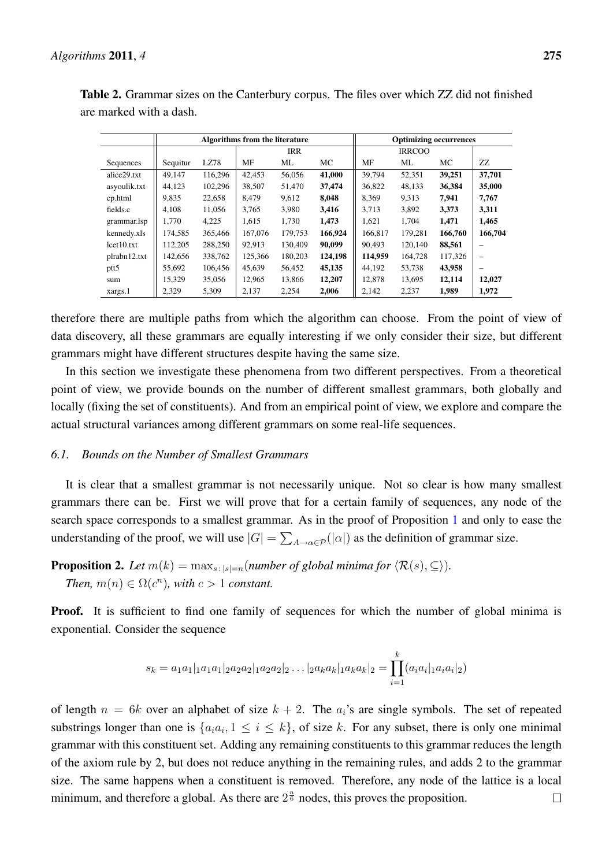|                  | <b>Algorithms from the literature</b> |         |            |         | <b>Optimizing occurrences</b> |               |         |         |         |
|------------------|---------------------------------------|---------|------------|---------|-------------------------------|---------------|---------|---------|---------|
|                  |                                       |         | <b>IRR</b> |         |                               | <b>IRRCOO</b> |         |         |         |
| Sequences        | Sequitur                              | LZ78    | MF         | ML      | МC                            | МF            | ML      | МC      | ZZ      |
| alice29.txt      | 49.147                                | 116.296 | 42,453     | 56,056  | 41,000                        | 39.794        | 52,351  | 39,251  | 37.701  |
| asyoulik.txt     | 44.123                                | 102.296 | 38,507     | 51,470  | 37,474                        | 36.822        | 48,133  | 36,384  | 35,000  |
| cp.html          | 9,835                                 | 22,658  | 8,479      | 9,612   | 8,048                         | 8,369         | 9.313   | 7,941   | 7,767   |
| fields.c         | 4.108                                 | 11,056  | 3,765      | 3,980   | 3,416                         | 3.713         | 3,892   | 3,373   | 3,311   |
| grammar.lsp      | 1.770                                 | 4,225   | 1,615      | 1,730   | 1,473                         | 1,621         | 1,704   | 1,471   | 1,465   |
| kennedy.xls      | 174,585                               | 365,466 | 167,076    | 179,753 | 166,924                       | 166,817       | 179,281 | 166,760 | 166,704 |
| lct10.txt        | 112,205                               | 288,250 | 92,913     | 130,409 | 90,099                        | 90.493        | 120,140 | 88,561  |         |
| plrabn12.txt     | 142,656                               | 338,762 | 125,366    | 180,203 | 124,198                       | 114.959       | 164.728 | 117,326 | -       |
| ptt <sub>5</sub> | 55,692                                | 106,456 | 45,639     | 56,452  | 45,135                        | 44,192        | 53,738  | 43,958  |         |
| sum              | 15.329                                | 35,056  | 12.965     | 13.866  | 12,207                        | 12.878        | 13,695  | 12,114  | 12,027  |
| xargs.1          | 2,329                                 | 5,309   | 2,137      | 2,254   | 2,006                         | 2,142         | 2,237   | 1,989   | 1,972   |

Table 2. Grammar sizes on the Canterbury corpus. The files over which ZZ did not finished are marked with a dash.

therefore there are multiple paths from which the algorithm can choose. From the point of view of data discovery, all these grammars are equally interesting if we only consider their size, but different grammars might have different structures despite having the same size.

In this section we investigate these phenomena from two different perspectives. From a theoretical point of view, we provide bounds on the number of different smallest grammars, both globally and locally (fixing the set of constituents). And from an empirical point of view, we explore and compare the actual structural variances among different grammars on some real-life sequences.

## *6.1. Bounds on the Number of Smallest Grammars*

It is clear that a smallest grammar is not necessarily unique. Not so clear is how many smallest grammars there can be. First we will prove that for a certain family of sequences, any node of the search space corresponds to a smallest grammar. As in the proof of Proposition 1 and only to ease the understanding of the proof, we will use  $|G| = \sum_{A \to \alpha \in \mathcal{P}}(|\alpha|)$  as the definition of grammar size.

**Proposition 2.** *Let*  $m(k) = \max_{s \colon |s|=n} (number \text{ of global minima for } \langle \mathcal{R}(s), \subseteq \rangle).$ *Then,*  $m(n) \in \Omega(c^n)$ *, with*  $c > 1$  *constant.* 

**Proof.** It is sufficient to find one family of sequences for which the number of global minima is exponential. Consider the sequence

$$
s_k = a_1a_1|_1a_1a_1|_2a_2a_2|_1a_2a_2|_2\dots|_2a_ka_k|_1a_ka_k|_2 = \prod_{i=1}^k (a_ia_i|_1a_ia_i|_2)
$$

of length  $n = 6k$  over an alphabet of size  $k + 2$ . The  $a_i$ 's are single symbols. The set of repeated substrings longer than one is  $\{a_i a_i, 1 \le i \le k\}$ , of size k. For any subset, there is only one minimal grammar with this constituent set. Adding any remaining constituents to this grammar reduces the length of the axiom rule by 2, but does not reduce anything in the remaining rules, and adds 2 to the grammar size. The same happens when a constituent is removed. Therefore, any node of the lattice is a local minimum, and therefore a global. As there are  $2^{\frac{n}{6}}$  nodes, this proves the proposition.  $\Box$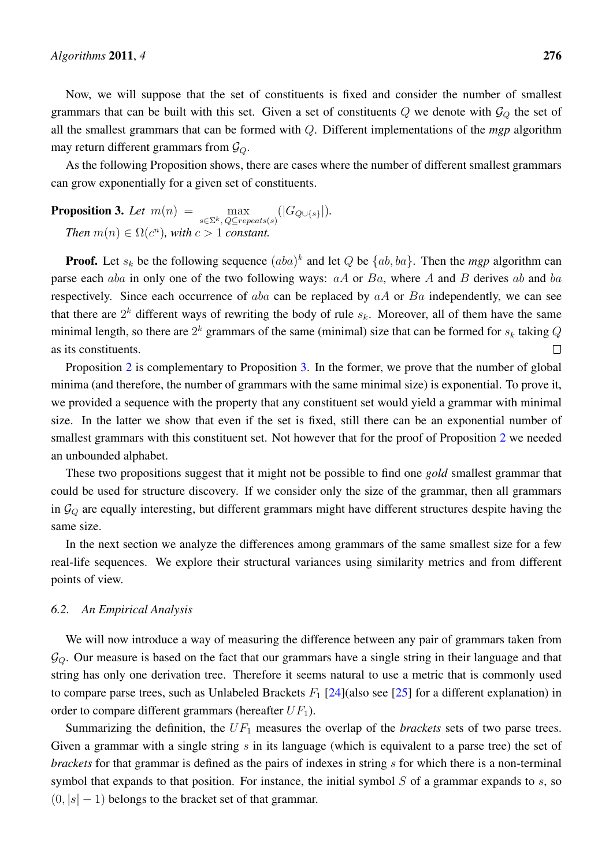Now, we will suppose that the set of constituents is fixed and consider the number of smallest grammars that can be built with this set. Given a set of constituents  $Q$  we denote with  $\mathcal{G}_Q$  the set of all the smallest grammars that can be formed with Q. Different implementations of the *mgp* algorithm may return different grammars from  $\mathcal{G}_Q$ .

As the following Proposition shows, there are cases where the number of different smallest grammars can grow exponentially for a given set of constituents.

**Proposition 3.** Let  $m(n) = \max_{s \in \Sigma^k, \ Q \subseteq repeats(s)}(|G_{Q \cup \{s\}}|).$ *Then*  $m(n) \in \Omega(c^n)$ *, with*  $c > 1$  *constant.* 

**Proof.** Let  $s_k$  be the following sequence  $(aba)^k$  and let Q be  $\{ab, ba\}$ . Then the *mgp* algorithm can parse each aba in only one of the two following ways:  $aA$  or  $Ba$ , where A and B derives ab and ba respectively. Since each occurrence of  $aba$  can be replaced by  $aA$  or  $Ba$  independently, we can see that there are  $2^k$  different ways of rewriting the body of rule  $s_k$ . Moreover, all of them have the same minimal length, so there are  $2^k$  grammars of the same (minimal) size that can be formed for  $s_k$  taking  $Q$ as its constituents.  $\Box$ 

Proposition 2 is complementary to Proposition 3. In the former, we prove that the number of global minima (and therefore, the number of grammars with the same minimal size) is exponential. To prove it, we provided a sequence with the property that any constituent set would yield a grammar with minimal size. In the latter we show that even if the set is fixed, still there can be an exponential number of smallest grammars with this constituent set. Not however that for the proof of Proposition 2 we needed an unbounded alphabet.

These two propositions suggest that it might not be possible to find one *gold* smallest grammar that could be used for structure discovery. If we consider only the size of the grammar, then all grammars in  $\mathcal{G}_Q$  are equally interesting, but different grammars might have different structures despite having the same size.

In the next section we analyze the differences among grammars of the same smallest size for a few real-life sequences. We explore their structural variances using similarity metrics and from different points of view.

## *6.2. An Empirical Analysis*

We will now introduce a way of measuring the difference between any pair of grammars taken from  $\mathcal{G}_Q$ . Our measure is based on the fact that our grammars have a single string in their language and that string has only one derivation tree. Therefore it seems natural to use a metric that is commonly used to compare parse trees, such as Unlabeled Brackets  $F_1$  [24](also see [25] for a different explanation) in order to compare different grammars (hereafter  $UF_1$ ).

Summarizing the definition, the  $UF_1$  measures the overlap of the *brackets* sets of two parse trees. Given a grammar with a single string  $s$  in its language (which is equivalent to a parse tree) the set of *brackets* for that grammar is defined as the pairs of indexes in string s for which there is a non-terminal symbol that expands to that position. For instance, the initial symbol  $S$  of a grammar expands to  $s$ , so  $(0, |s| - 1)$  belongs to the bracket set of that grammar.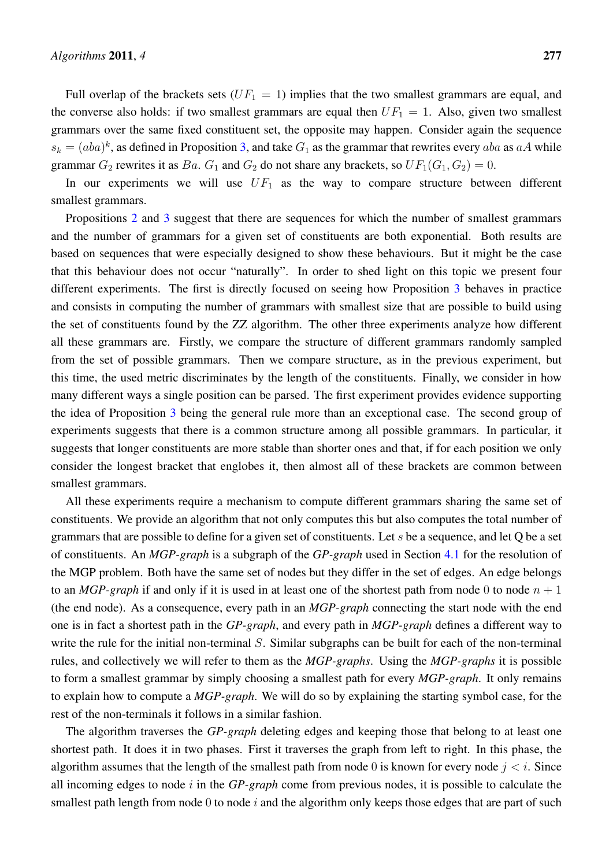Full overlap of the brackets sets  $(UF_1 = 1)$  implies that the two smallest grammars are equal, and the converse also holds: if two smallest grammars are equal then  $UF_1 = 1$ . Also, given two smallest grammars over the same fixed constituent set, the opposite may happen. Consider again the sequence  $s_k = (aba)^k$ , as defined in Proposition 3, and take  $G_1$  as the grammar that rewrites every aba as aA while grammar  $G_2$  rewrites it as  $Ba$ .  $G_1$  and  $G_2$  do not share any brackets, so  $UF_1(G_1, G_2) = 0$ .

In our experiments we will use  $UF_1$  as the way to compare structure between different smallest grammars.

Propositions 2 and 3 suggest that there are sequences for which the number of smallest grammars and the number of grammars for a given set of constituents are both exponential. Both results are based on sequences that were especially designed to show these behaviours. But it might be the case that this behaviour does not occur "naturally". In order to shed light on this topic we present four different experiments. The first is directly focused on seeing how Proposition 3 behaves in practice and consists in computing the number of grammars with smallest size that are possible to build using the set of constituents found by the ZZ algorithm. The other three experiments analyze how different all these grammars are. Firstly, we compare the structure of different grammars randomly sampled from the set of possible grammars. Then we compare structure, as in the previous experiment, but this time, the used metric discriminates by the length of the constituents. Finally, we consider in how many different ways a single position can be parsed. The first experiment provides evidence supporting the idea of Proposition 3 being the general rule more than an exceptional case. The second group of experiments suggests that there is a common structure among all possible grammars. In particular, it suggests that longer constituents are more stable than shorter ones and that, if for each position we only consider the longest bracket that englobes it, then almost all of these brackets are common between smallest grammars.

All these experiments require a mechanism to compute different grammars sharing the same set of constituents. We provide an algorithm that not only computes this but also computes the total number of grammars that are possible to define for a given set of constituents. Let s be a sequence, and let Q be a set of constituents. An *MGP-graph* is a subgraph of the *GP-graph* used in Section 4.1 for the resolution of the MGP problem. Both have the same set of nodes but they differ in the set of edges. An edge belongs to an *MGP-graph* if and only if it is used in at least one of the shortest path from node 0 to node  $n + 1$ (the end node). As a consequence, every path in an *MGP-graph* connecting the start node with the end one is in fact a shortest path in the *GP-graph*, and every path in *MGP-graph* defines a different way to write the rule for the initial non-terminal S. Similar subgraphs can be built for each of the non-terminal rules, and collectively we will refer to them as the *MGP-graphs*. Using the *MGP-graphs* it is possible to form a smallest grammar by simply choosing a smallest path for every *MGP-graph*. It only remains to explain how to compute a *MGP-graph*. We will do so by explaining the starting symbol case, for the rest of the non-terminals it follows in a similar fashion.

The algorithm traverses the *GP-graph* deleting edges and keeping those that belong to at least one shortest path. It does it in two phases. First it traverses the graph from left to right. In this phase, the algorithm assumes that the length of the smallest path from node 0 is known for every node  $j < i$ . Since all incoming edges to node i in the *GP-graph* come from previous nodes, it is possible to calculate the smallest path length from node  $0$  to node  $i$  and the algorithm only keeps those edges that are part of such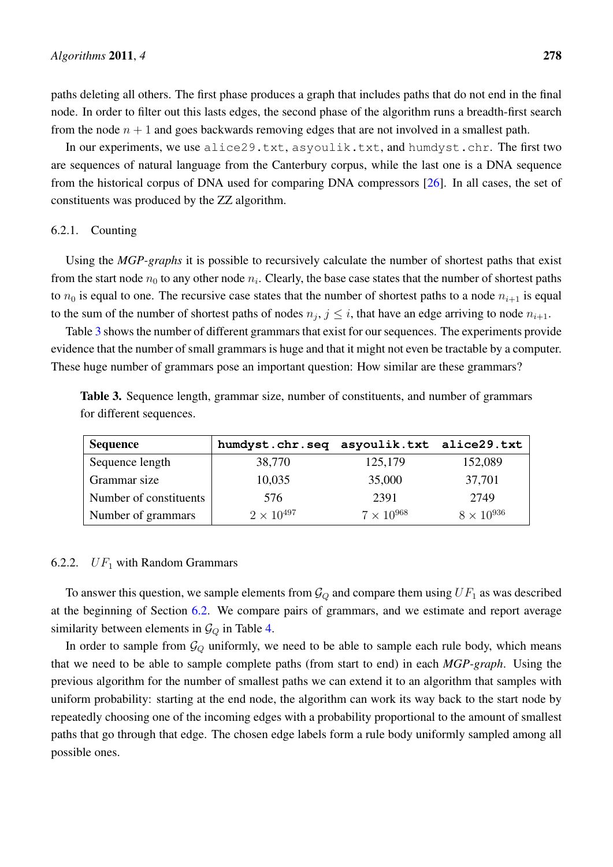paths deleting all others. The first phase produces a graph that includes paths that do not end in the final node. In order to filter out this lasts edges, the second phase of the algorithm runs a breadth-first search from the node  $n + 1$  and goes backwards removing edges that are not involved in a smallest path.

In our experiments, we use alice29.txt, asyoulik.txt, and humdyst.chr. The first two are sequences of natural language from the Canterbury corpus, while the last one is a DNA sequence from the historical corpus of DNA used for comparing DNA compressors [26]. In all cases, the set of constituents was produced by the ZZ algorithm.

## 6.2.1. Counting

Using the *MGP-graphs* it is possible to recursively calculate the number of shortest paths that exist from the start node  $n_0$  to any other node  $n_i$ . Clearly, the base case states that the number of shortest paths to  $n_0$  is equal to one. The recursive case states that the number of shortest paths to a node  $n_{i+1}$  is equal to the sum of the number of shortest paths of nodes  $n_j$ ,  $j \leq i$ , that have an edge arriving to node  $n_{i+1}$ .

Table 3 shows the number of different grammars that exist for our sequences. The experiments provide evidence that the number of small grammars is huge and that it might not even be tractable by a computer. These huge number of grammars pose an important question: How similar are these grammars?

| <b>Table 3.</b> Sequence length, grammar size, number of constituents, and number of grammars |  |  |  |
|-----------------------------------------------------------------------------------------------|--|--|--|
| for different sequences.                                                                      |  |  |  |
|                                                                                               |  |  |  |

| <b>Sequence</b>        | humdyst.chr.seq asyoulik.txt alice29.txt |                     |                     |
|------------------------|------------------------------------------|---------------------|---------------------|
| Sequence length        | 38,770                                   | 125,179             | 152,089             |
| Grammar size           | 10,035                                   | 35,000              | 37,701              |
| Number of constituents | 576                                      | 2391                | 2749                |
| Number of grammars     | $2 \times 10^{497}$                      | $7 \times 10^{968}$ | $8 \times 10^{936}$ |

# 6.2.2.  $UF_1$  with Random Grammars

To answer this question, we sample elements from  $\mathcal{G}_Q$  and compare them using  $UF_1$  as was described at the beginning of Section 6.2. We compare pairs of grammars, and we estimate and report average similarity between elements in  $\mathcal{G}_Q$  in Table 4.

In order to sample from  $\mathcal{G}_Q$  uniformly, we need to be able to sample each rule body, which means that we need to be able to sample complete paths (from start to end) in each *MGP-graph*. Using the previous algorithm for the number of smallest paths we can extend it to an algorithm that samples with uniform probability: starting at the end node, the algorithm can work its way back to the start node by repeatedly choosing one of the incoming edges with a probability proportional to the amount of smallest paths that go through that edge. The chosen edge labels form a rule body uniformly sampled among all possible ones.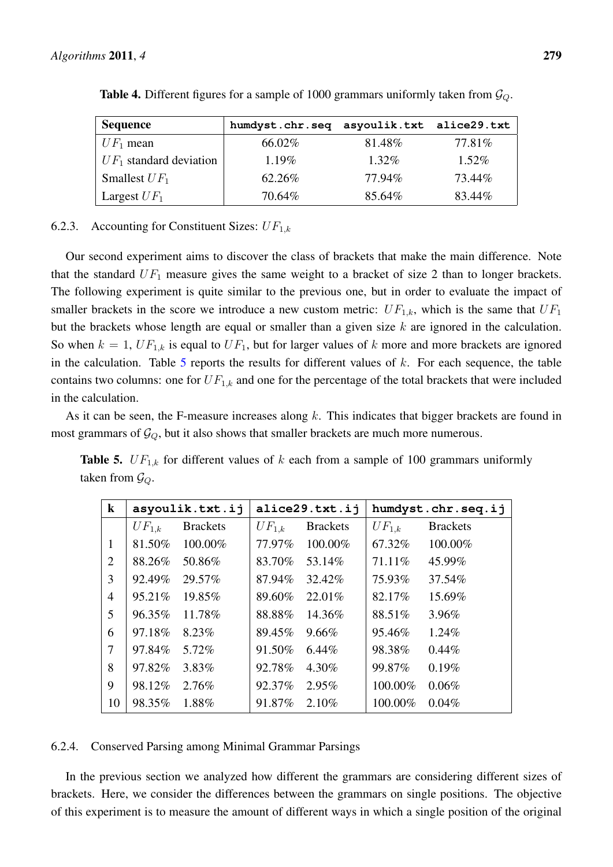| <b>Sequence</b>           | humdyst.chr.seq asyoulik.txt alice29.txt |          |          |
|---------------------------|------------------------------------------|----------|----------|
| $UF_1$ mean               | 66.02\%                                  | 81.48%   | 77.81\%  |
| $UF_1$ standard deviation | $1.19\%$                                 | $1.32\%$ | $1.52\%$ |
| Smallest $UF_1$           | 62.26%                                   | 77.94%   | 73.44%   |
| Largest $UF_1$            | 70.64%                                   | 85.64%   | 83.44%   |

**Table 4.** Different figures for a sample of 1000 grammars uniformly taken from  $\mathcal{G}_Q$ .

# 6.2.3. Accounting for Constituent Sizes:  $UF_{1,k}$

Our second experiment aims to discover the class of brackets that make the main difference. Note that the standard  $UF_1$  measure gives the same weight to a bracket of size 2 than to longer brackets. The following experiment is quite similar to the previous one, but in order to evaluate the impact of smaller brackets in the score we introduce a new custom metric:  $UF_{1,k}$ , which is the same that  $UF_1$ but the brackets whose length are equal or smaller than a given size  $k$  are ignored in the calculation. So when  $k = 1$ ,  $UF_{1,k}$  is equal to  $UF_1$ , but for larger values of k more and more brackets are ignored in the calculation. Table  $5$  reports the results for different values of  $k$ . For each sequence, the table contains two columns: one for  $UF_{1,k}$  and one for the percentage of the total brackets that were included in the calculation.

As it can be seen, the F-measure increases along  $k$ . This indicates that bigger brackets are found in most grammars of  $\mathcal{G}_Q$ , but it also shows that smaller brackets are much more numerous.

**Table 5.**  $UF_{1,k}$  for different values of k each from a sample of 100 grammars uniformly taken from  $\mathcal{G}_Q$ .

| $\bf k$        |            | asyoulik.txt.ij |            | alice29.txt.ij  | humdyst.chr.seq.ij |                 |  |
|----------------|------------|-----------------|------------|-----------------|--------------------|-----------------|--|
|                | $UF_{1,k}$ | <b>Brackets</b> | $UF_{1,k}$ | <b>Brackets</b> | $UF_{1,k}$         | <b>Brackets</b> |  |
| 1              | 81.50%     | 100.00%         | 77.97%     | 100.00%         | 67.32%             | 100.00%         |  |
| 2              | 88.26%     | 50.86%          | 83.70%     | 53.14%          | 71.11\%            | 45.99%          |  |
| 3              | 92.49%     | 29.57%          | 87.94%     | 32.42%          | 75.93%             | 37.54%          |  |
| $\overline{4}$ | 95.21%     | 19.85%          | 89.60%     | $22.01\%$       | 82.17%             | 15.69%          |  |
| 5              | 96.35%     | 11.78%          | 88.88%     | 14.36%          | 88.51%             | 3.96%           |  |
| 6              | 97.18%     | 8.23%           | 89.45%     | $9.66\%$        | 95.46%             | 1.24%           |  |
| 7              | 97.84%     | 5.72%           | 91.50%     | $6.44\%$        | 98.38%             | 0.44%           |  |
| 8              | 97.82%     | 3.83%           | 92.78%     | 4.30%           | 99.87%             | 0.19%           |  |
| 9              | 98.12%     | 2.76%           | 92.37%     | 2.95%           | 100.00%            | 0.06%           |  |
| 10             | 98.35%     | 1.88%           | 91.87%     | 2.10%           | 100.00%            | 0.04%           |  |

## 6.2.4. Conserved Parsing among Minimal Grammar Parsings

In the previous section we analyzed how different the grammars are considering different sizes of brackets. Here, we consider the differences between the grammars on single positions. The objective of this experiment is to measure the amount of different ways in which a single position of the original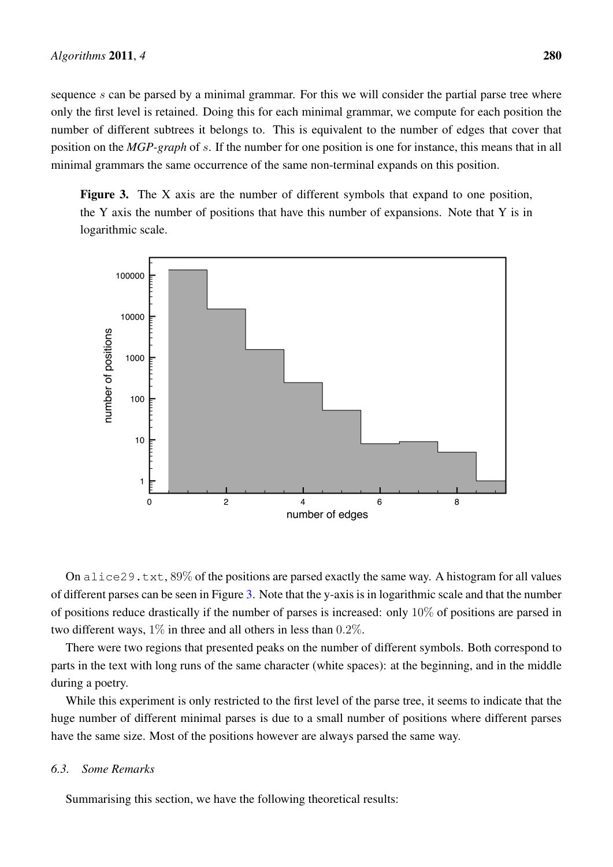sequence s can be parsed by a minimal grammar. For this we will consider the partial parse tree where only the first level is retained. Doing this for each minimal grammar, we compute for each position the number of different subtrees it belongs to. This is equivalent to the number of edges that cover that position on the *MGP-graph* of s. If the number for one position is one for instance, this means that in all minimal grammars the same occurrence of the same non-terminal expands on this position.

Figure 3. The X axis are the number of different symbols that expand to one position, the Y axis the number of positions that have this number of expansions. Note that Y is in logarithmic scale.



On alice29.txt,  $89\%$  of the positions are parsed exactly the same way. A histogram for all values of different parses can be seen in Figure 3. Note that the y-axis is in logarithmic scale and that the number of positions reduce drastically if the number of parses is increased: only  $10\%$  of positions are parsed in two different ways,  $1\%$  in three and all others in less than 0.2%.

There were two regions that presented peaks on the number of different symbols. Both correspond to parts in the text with long runs of the same character (white spaces): at the beginning, and in the middle during a poetry.

While this experiment is only restricted to the first level of the parse tree, it seems to indicate that the huge number of different minimal parses is due to a small number of positions where different parses have the same size. Most of the positions however are always parsed the same way.

## *6.3. Some Remarks*

Summarising this section, we have the following theoretical results: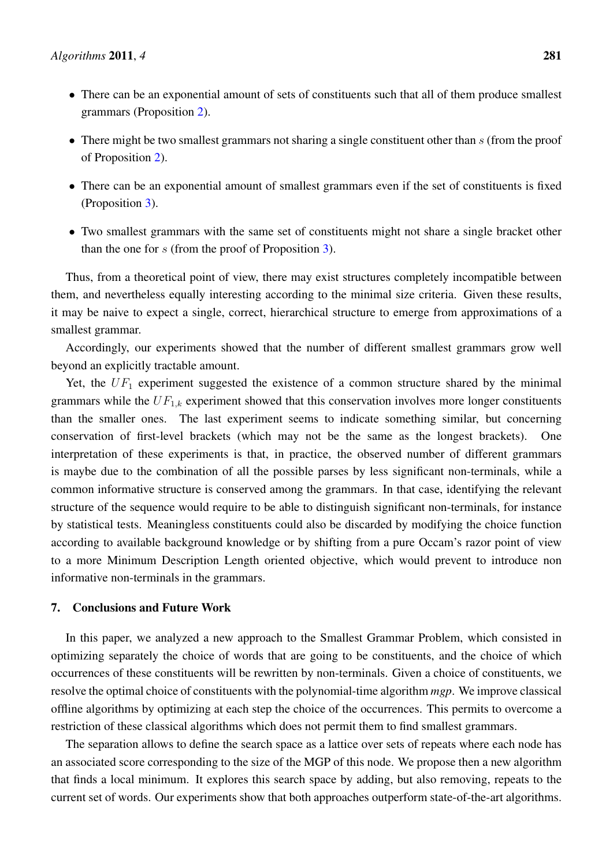- There can be an exponential amount of sets of constituents such that all of them produce smallest grammars (Proposition 2).
- There might be two smallest grammars not sharing a single constituent other than  $s$  (from the proof of Proposition 2).
- There can be an exponential amount of smallest grammars even if the set of constituents is fixed (Proposition 3).
- Two smallest grammars with the same set of constituents might not share a single bracket other than the one for  $s$  (from the proof of Proposition 3).

Thus, from a theoretical point of view, there may exist structures completely incompatible between them, and nevertheless equally interesting according to the minimal size criteria. Given these results, it may be naive to expect a single, correct, hierarchical structure to emerge from approximations of a smallest grammar.

Accordingly, our experiments showed that the number of different smallest grammars grow well beyond an explicitly tractable amount.

Yet, the  $UF_1$  experiment suggested the existence of a common structure shared by the minimal grammars while the  $UF_{1,k}$  experiment showed that this conservation involves more longer constituents than the smaller ones. The last experiment seems to indicate something similar, but concerning conservation of first-level brackets (which may not be the same as the longest brackets). One interpretation of these experiments is that, in practice, the observed number of different grammars is maybe due to the combination of all the possible parses by less significant non-terminals, while a common informative structure is conserved among the grammars. In that case, identifying the relevant structure of the sequence would require to be able to distinguish significant non-terminals, for instance by statistical tests. Meaningless constituents could also be discarded by modifying the choice function according to available background knowledge or by shifting from a pure Occam's razor point of view to a more Minimum Description Length oriented objective, which would prevent to introduce non informative non-terminals in the grammars.

# 7. Conclusions and Future Work

In this paper, we analyzed a new approach to the Smallest Grammar Problem, which consisted in optimizing separately the choice of words that are going to be constituents, and the choice of which occurrences of these constituents will be rewritten by non-terminals. Given a choice of constituents, we resolve the optimal choice of constituents with the polynomial-time algorithm *mgp*. We improve classical offline algorithms by optimizing at each step the choice of the occurrences. This permits to overcome a restriction of these classical algorithms which does not permit them to find smallest grammars.

The separation allows to define the search space as a lattice over sets of repeats where each node has an associated score corresponding to the size of the MGP of this node. We propose then a new algorithm that finds a local minimum. It explores this search space by adding, but also removing, repeats to the current set of words. Our experiments show that both approaches outperform state-of-the-art algorithms.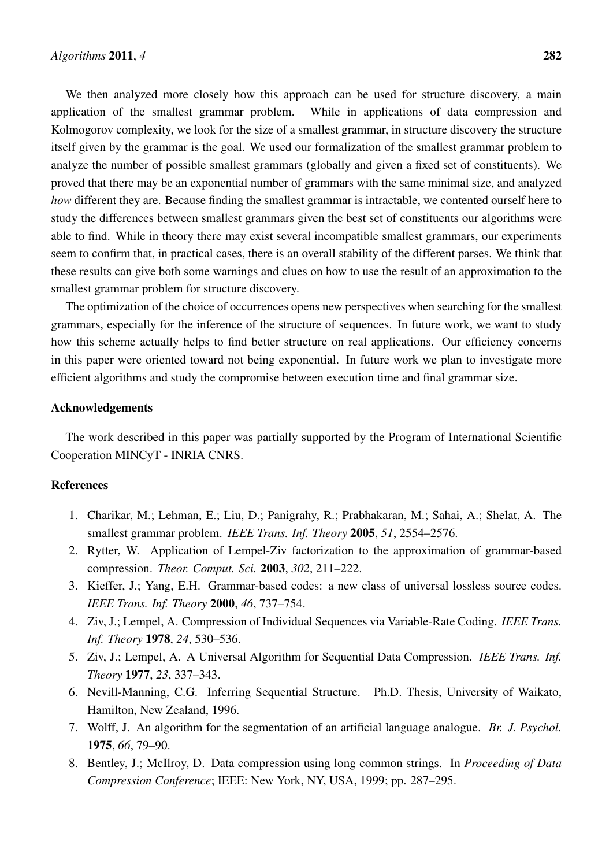We then analyzed more closely how this approach can be used for structure discovery, a main application of the smallest grammar problem. While in applications of data compression and Kolmogorov complexity, we look for the size of a smallest grammar, in structure discovery the structure itself given by the grammar is the goal. We used our formalization of the smallest grammar problem to analyze the number of possible smallest grammars (globally and given a fixed set of constituents). We proved that there may be an exponential number of grammars with the same minimal size, and analyzed *how* different they are. Because finding the smallest grammar is intractable, we contented ourself here to study the differences between smallest grammars given the best set of constituents our algorithms were able to find. While in theory there may exist several incompatible smallest grammars, our experiments seem to confirm that, in practical cases, there is an overall stability of the different parses. We think that these results can give both some warnings and clues on how to use the result of an approximation to the smallest grammar problem for structure discovery.

The optimization of the choice of occurrences opens new perspectives when searching for the smallest grammars, especially for the inference of the structure of sequences. In future work, we want to study how this scheme actually helps to find better structure on real applications. Our efficiency concerns in this paper were oriented toward not being exponential. In future work we plan to investigate more efficient algorithms and study the compromise between execution time and final grammar size.

#### Acknowledgements

The work described in this paper was partially supported by the Program of International Scientific Cooperation MINCyT - INRIA CNRS.

# References

- 1. Charikar, M.; Lehman, E.; Liu, D.; Panigrahy, R.; Prabhakaran, M.; Sahai, A.; Shelat, A. The smallest grammar problem. *IEEE Trans. Inf. Theory* 2005, *51*, 2554–2576.
- 2. Rytter, W. Application of Lempel-Ziv factorization to the approximation of grammar-based compression. *Theor. Comput. Sci.* 2003, *302*, 211–222.
- 3. Kieffer, J.; Yang, E.H. Grammar-based codes: a new class of universal lossless source codes. *IEEE Trans. Inf. Theory* 2000, *46*, 737–754.
- 4. Ziv, J.; Lempel, A. Compression of Individual Sequences via Variable-Rate Coding. *IEEE Trans. Inf. Theory* 1978, *24*, 530–536.
- 5. Ziv, J.; Lempel, A. A Universal Algorithm for Sequential Data Compression. *IEEE Trans. Inf. Theory* 1977, *23*, 337–343.
- 6. Nevill-Manning, C.G. Inferring Sequential Structure. Ph.D. Thesis, University of Waikato, Hamilton, New Zealand, 1996.
- 7. Wolff, J. An algorithm for the segmentation of an artificial language analogue. *Br. J. Psychol.* 1975, *66*, 79–90.
- 8. Bentley, J.; McIlroy, D. Data compression using long common strings. In *Proceeding of Data Compression Conference*; IEEE: New York, NY, USA, 1999; pp. 287–295.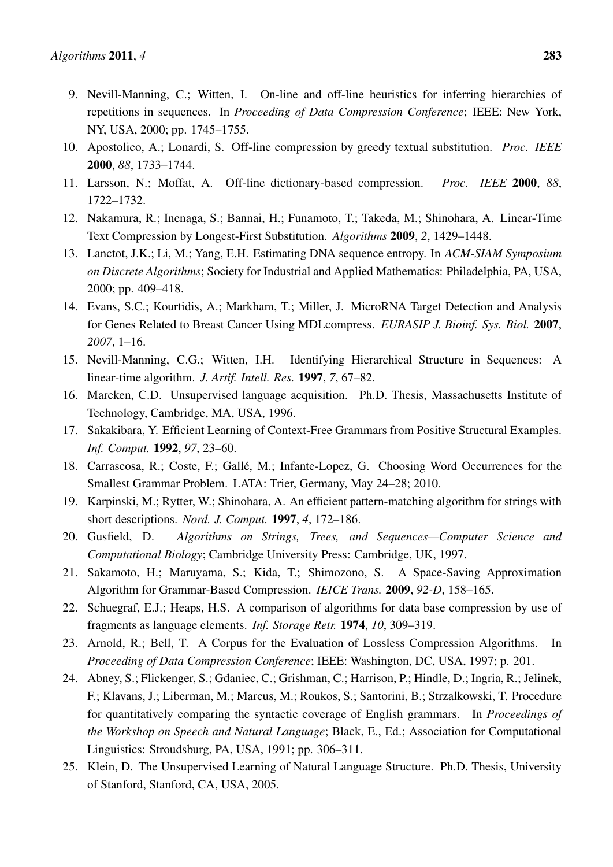- 9. Nevill-Manning, C.; Witten, I. On-line and off-line heuristics for inferring hierarchies of repetitions in sequences. In *Proceeding of Data Compression Conference*; IEEE: New York, NY, USA, 2000; pp. 1745–1755.
- 10. Apostolico, A.; Lonardi, S. Off-line compression by greedy textual substitution. *Proc. IEEE* 2000, *88*, 1733–1744.
- 11. Larsson, N.; Moffat, A. Off-line dictionary-based compression. *Proc. IEEE* 2000, *88*, 1722–1732.
- 12. Nakamura, R.; Inenaga, S.; Bannai, H.; Funamoto, T.; Takeda, M.; Shinohara, A. Linear-Time Text Compression by Longest-First Substitution. *Algorithms* 2009, *2*, 1429–1448.
- 13. Lanctot, J.K.; Li, M.; Yang, E.H. Estimating DNA sequence entropy. In *ACM-SIAM Symposium on Discrete Algorithms*; Society for Industrial and Applied Mathematics: Philadelphia, PA, USA, 2000; pp. 409–418.
- 14. Evans, S.C.; Kourtidis, A.; Markham, T.; Miller, J. MicroRNA Target Detection and Analysis for Genes Related to Breast Cancer Using MDLcompress. *EURASIP J. Bioinf. Sys. Biol.* 2007, *2007*, 1–16.
- 15. Nevill-Manning, C.G.; Witten, I.H. Identifying Hierarchical Structure in Sequences: A linear-time algorithm. *J. Artif. Intell. Res.* 1997, *7*, 67–82.
- 16. Marcken, C.D. Unsupervised language acquisition. Ph.D. Thesis, Massachusetts Institute of Technology, Cambridge, MA, USA, 1996.
- 17. Sakakibara, Y. Efficient Learning of Context-Free Grammars from Positive Structural Examples. *Inf. Comput.* 1992, *97*, 23–60.
- 18. Carrascosa, R.; Coste, F.; Gallé, M.; Infante-Lopez, G. Choosing Word Occurrences for the Smallest Grammar Problem. LATA: Trier, Germany, May 24–28; 2010.
- 19. Karpinski, M.; Rytter, W.; Shinohara, A. An efficient pattern-matching algorithm for strings with short descriptions. *Nord. J. Comput.* 1997, *4*, 172–186.
- 20. Gusfield, D. *Algorithms on Strings, Trees, and Sequences—Computer Science and Computational Biology*; Cambridge University Press: Cambridge, UK, 1997.
- 21. Sakamoto, H.; Maruyama, S.; Kida, T.; Shimozono, S. A Space-Saving Approximation Algorithm for Grammar-Based Compression. *IEICE Trans.* 2009, *92-D*, 158–165.
- 22. Schuegraf, E.J.; Heaps, H.S. A comparison of algorithms for data base compression by use of fragments as language elements. *Inf. Storage Retr.* 1974, *10*, 309–319.
- 23. Arnold, R.; Bell, T. A Corpus for the Evaluation of Lossless Compression Algorithms. In *Proceeding of Data Compression Conference*; IEEE: Washington, DC, USA, 1997; p. 201.
- 24. Abney, S.; Flickenger, S.; Gdaniec, C.; Grishman, C.; Harrison, P.; Hindle, D.; Ingria, R.; Jelinek, F.; Klavans, J.; Liberman, M.; Marcus, M.; Roukos, S.; Santorini, B.; Strzalkowski, T. Procedure for quantitatively comparing the syntactic coverage of English grammars. In *Proceedings of the Workshop on Speech and Natural Language*; Black, E., Ed.; Association for Computational Linguistics: Stroudsburg, PA, USA, 1991; pp. 306–311.
- 25. Klein, D. The Unsupervised Learning of Natural Language Structure. Ph.D. Thesis, University of Stanford, Stanford, CA, USA, 2005.